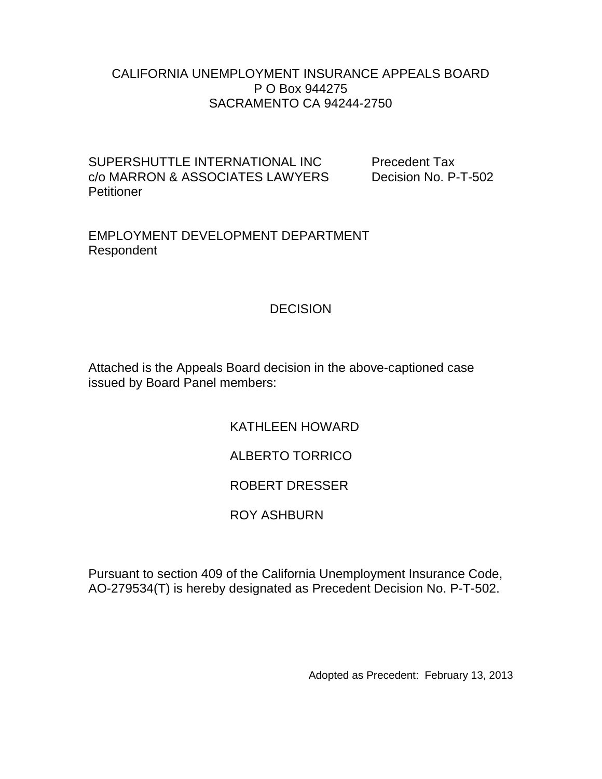#### CALIFORNIA UNEMPLOYMENT INSURANCE APPEALS BOARD P O Box 944275 SACRAMENTO CA 94244-2750

SUPERSHUTTLE INTERNATIONAL INC Precedent Tax c/o MARRON & ASSOCIATES LAWYERS Decision No. P-T-502 **Petitioner** 

EMPLOYMENT DEVELOPMENT DEPARTMENT Respondent

### **DECISION**

Attached is the Appeals Board decision in the above-captioned case issued by Board Panel members:

KATHLEEN HOWARD

# ALBERTO TORRICO

# ROBERT DRESSER

# ROY ASHBURN

Pursuant to section 409 of the California Unemployment Insurance Code, AO-279534(T) is hereby designated as Precedent Decision No. P-T-502.

Adopted as Precedent: February 13, 2013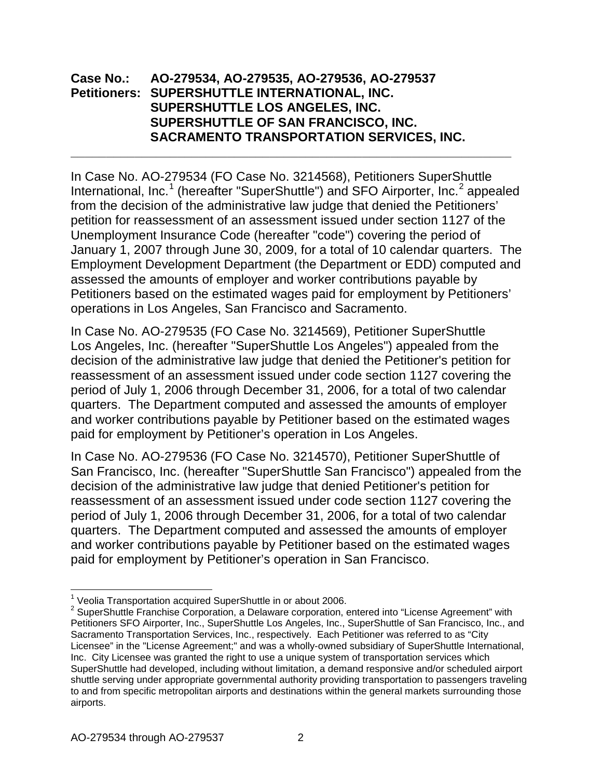#### **Case No.: AO-279534, AO-279535, AO-279536, AO-279537 Petitioners: SUPERSHUTTLE INTERNATIONAL, INC. SUPERSHUTTLE LOS ANGELES, INC. SUPERSHUTTLE OF SAN FRANCISCO, INC. SACRAMENTO TRANSPORTATION SERVICES, INC.**

In Case No. AO-279534 (FO Case No. 3214568), Petitioners SuperShuttle International, Inc.<sup>[1](#page-1-0)</sup> (hereafter "SuperShuttle") and SFO Airporter, Inc.<sup>[2](#page-1-1)</sup> appealed from the decision of the administrative law judge that denied the Petitioners' petition for reassessment of an assessment issued under section 1127 of the Unemployment Insurance Code (hereafter "code") covering the period of January 1, 2007 through June 30, 2009, for a total of 10 calendar quarters. The Employment Development Department (the Department or EDD) computed and assessed the amounts of employer and worker contributions payable by Petitioners based on the estimated wages paid for employment by Petitioners' operations in Los Angeles, San Francisco and Sacramento.

**\_\_\_\_\_\_\_\_\_\_\_\_\_\_\_\_\_\_\_\_\_\_\_\_\_\_\_\_\_\_\_\_\_\_\_\_\_\_\_\_\_\_\_\_\_\_\_\_\_\_\_\_\_\_\_\_\_\_\_\_\_\_**

In Case No. AO-279535 (FO Case No. 3214569), Petitioner SuperShuttle Los Angeles, Inc. (hereafter "SuperShuttle Los Angeles") appealed from the decision of the administrative law judge that denied the Petitioner's petition for reassessment of an assessment issued under code section 1127 covering the period of July 1, 2006 through December 31, 2006, for a total of two calendar quarters. The Department computed and assessed the amounts of employer and worker contributions payable by Petitioner based on the estimated wages paid for employment by Petitioner's operation in Los Angeles.

In Case No. AO-279536 (FO Case No. 3214570), Petitioner SuperShuttle of San Francisco, Inc. (hereafter "SuperShuttle San Francisco") appealed from the decision of the administrative law judge that denied Petitioner's petition for reassessment of an assessment issued under code section 1127 covering the period of July 1, 2006 through December 31, 2006, for a total of two calendar quarters. The Department computed and assessed the amounts of employer and worker contributions payable by Petitioner based on the estimated wages paid for employment by Petitioner's operation in San Francisco.

<sup>&</sup>lt;sup>1</sup> Veolia Transportation acquired SuperShuttle in or about 2006.

<span id="page-1-1"></span><span id="page-1-0"></span> $2$  SuperShuttle Franchise Corporation, a Delaware corporation, entered into "License Agreement" with Petitioners SFO Airporter, Inc., SuperShuttle Los Angeles, Inc., SuperShuttle of San Francisco, Inc., and Sacramento Transportation Services, Inc., respectively. Each Petitioner was referred to as "City Licensee" in the "License Agreement;" and was a wholly-owned subsidiary of SuperShuttle International, Inc. City Licensee was granted the right to use a unique system of transportation services which SuperShuttle had developed, including without limitation, a demand responsive and/or scheduled airport shuttle serving under appropriate governmental authority providing transportation to passengers traveling to and from specific metropolitan airports and destinations within the general markets surrounding those airports.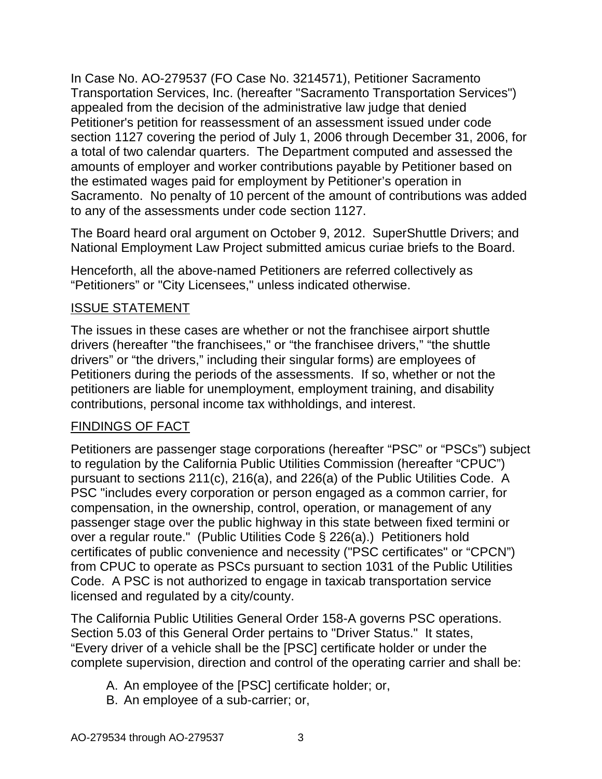In Case No. AO-279537 (FO Case No. 3214571), Petitioner Sacramento Transportation Services, Inc. (hereafter "Sacramento Transportation Services") appealed from the decision of the administrative law judge that denied Petitioner's petition for reassessment of an assessment issued under code section 1127 covering the period of July 1, 2006 through December 31, 2006, for a total of two calendar quarters. The Department computed and assessed the amounts of employer and worker contributions payable by Petitioner based on the estimated wages paid for employment by Petitioner's operation in Sacramento. No penalty of 10 percent of the amount of contributions was added to any of the assessments under code section 1127.

The Board heard oral argument on October 9, 2012. SuperShuttle Drivers; and National Employment Law Project submitted amicus curiae briefs to the Board.

Henceforth, all the above-named Petitioners are referred collectively as "Petitioners" or "City Licensees," unless indicated otherwise.

## ISSUE STATEMENT

The issues in these cases are whether or not the franchisee airport shuttle drivers (hereafter "the franchisees," or "the franchisee drivers," "the shuttle drivers" or "the drivers," including their singular forms) are employees of Petitioners during the periods of the assessments. If so, whether or not the petitioners are liable for unemployment, employment training, and disability contributions, personal income tax withholdings, and interest.

## FINDINGS OF FACT

Petitioners are passenger stage corporations (hereafter "PSC" or "PSCs") subject to regulation by the California Public Utilities Commission (hereafter "CPUC") pursuant to sections 211(c), 216(a), and 226(a) of the Public Utilities Code. A PSC "includes every corporation or person engaged as a common carrier, for compensation, in the ownership, control, operation, or management of any passenger stage over the public highway in this state between fixed termini or over a regular route." (Public Utilities Code § 226(a).) Petitioners hold certificates of public convenience and necessity ("PSC certificates" or "CPCN") from CPUC to operate as PSCs pursuant to section 1031 of the Public Utilities Code. A PSC is not authorized to engage in taxicab transportation service licensed and regulated by a city/county.

The California Public Utilities General Order 158-A governs PSC operations. Section 5.03 of this General Order pertains to "Driver Status." It states, "Every driver of a vehicle shall be the [PSC] certificate holder or under the complete supervision, direction and control of the operating carrier and shall be:

- A. An employee of the [PSC] certificate holder; or,
- B. An employee of a sub-carrier; or,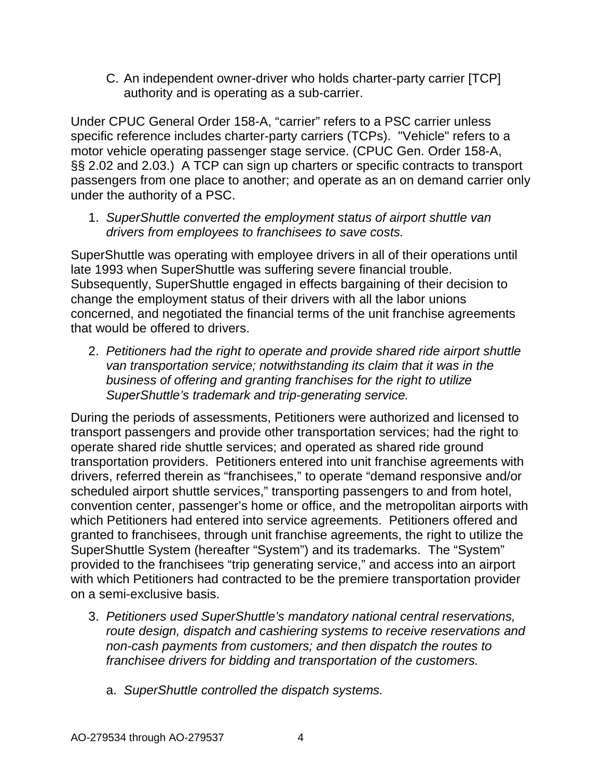C. An independent owner-driver who holds charter-party carrier [TCP] authority and is operating as a sub-carrier.

Under CPUC General Order 158-A, "carrier" refers to a PSC carrier unless specific reference includes charter-party carriers (TCPs). "Vehicle" refers to a motor vehicle operating passenger stage service. (CPUC Gen. Order 158-A, §§ 2.02 and 2.03.) A TCP can sign up charters or specific contracts to transport passengers from one place to another; and operate as an on demand carrier only under the authority of a PSC.

1. *SuperShuttle converted the employment status of airport shuttle van drivers from employees to franchisees to save costs.*

SuperShuttle was operating with employee drivers in all of their operations until late 1993 when SuperShuttle was suffering severe financial trouble. Subsequently, SuperShuttle engaged in effects bargaining of their decision to change the employment status of their drivers with all the labor unions concerned, and negotiated the financial terms of the unit franchise agreements that would be offered to drivers.

2. *Petitioners had the right to operate and provide shared ride airport shuttle van transportation service; notwithstanding its claim that it was in the business of offering and granting franchises for the right to utilize SuperShuttle's trademark and trip-generating service.*

During the periods of assessments, Petitioners were authorized and licensed to transport passengers and provide other transportation services; had the right to operate shared ride shuttle services; and operated as shared ride ground transportation providers. Petitioners entered into unit franchise agreements with drivers, referred therein as "franchisees," to operate "demand responsive and/or scheduled airport shuttle services," transporting passengers to and from hotel, convention center, passenger's home or office, and the metropolitan airports with which Petitioners had entered into service agreements. Petitioners offered and granted to franchisees, through unit franchise agreements, the right to utilize the SuperShuttle System (hereafter "System") and its trademarks. The "System" provided to the franchisees "trip generating service," and access into an airport with which Petitioners had contracted to be the premiere transportation provider on a semi-exclusive basis.

- 3. *Petitioners used SuperShuttle's mandatory national central reservations, route design, dispatch and cashiering systems to receive reservations and non-cash payments from customers; and then dispatch the routes to franchisee drivers for bidding and transportation of the customers.*
	- a. *SuperShuttle controlled the dispatch systems.*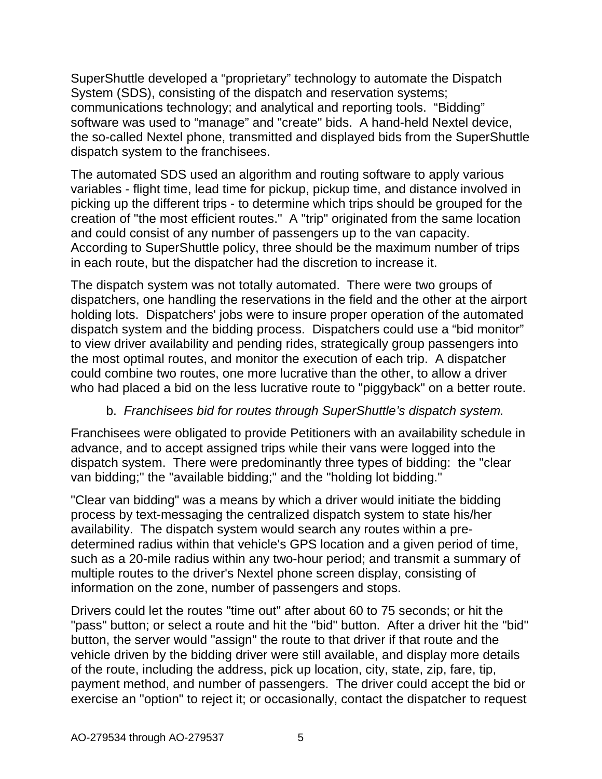SuperShuttle developed a "proprietary" technology to automate the Dispatch System (SDS), consisting of the dispatch and reservation systems; communications technology; and analytical and reporting tools. "Bidding" software was used to "manage" and "create" bids. A hand-held Nextel device, the so-called Nextel phone, transmitted and displayed bids from the SuperShuttle dispatch system to the franchisees.

The automated SDS used an algorithm and routing software to apply various variables - flight time, lead time for pickup, pickup time, and distance involved in picking up the different trips - to determine which trips should be grouped for the creation of "the most efficient routes." A "trip" originated from the same location and could consist of any number of passengers up to the van capacity. According to SuperShuttle policy, three should be the maximum number of trips in each route, but the dispatcher had the discretion to increase it.

The dispatch system was not totally automated. There were two groups of dispatchers, one handling the reservations in the field and the other at the airport holding lots. Dispatchers' jobs were to insure proper operation of the automated dispatch system and the bidding process. Dispatchers could use a "bid monitor" to view driver availability and pending rides, strategically group passengers into the most optimal routes, and monitor the execution of each trip. A dispatcher could combine two routes, one more lucrative than the other, to allow a driver who had placed a bid on the less lucrative route to "piggyback" on a better route.

# b. *Franchisees bid for routes through SuperShuttle's dispatch system.*

Franchisees were obligated to provide Petitioners with an availability schedule in advance, and to accept assigned trips while their vans were logged into the dispatch system. There were predominantly three types of bidding: the "clear van bidding;" the "available bidding;" and the "holding lot bidding."

"Clear van bidding" was a means by which a driver would initiate the bidding process by text-messaging the centralized dispatch system to state his/her availability. The dispatch system would search any routes within a predetermined radius within that vehicle's GPS location and a given period of time, such as a 20-mile radius within any two-hour period; and transmit a summary of multiple routes to the driver's Nextel phone screen display, consisting of information on the zone, number of passengers and stops.

Drivers could let the routes "time out" after about 60 to 75 seconds; or hit the "pass" button; or select a route and hit the "bid" button. After a driver hit the "bid" button, the server would "assign" the route to that driver if that route and the vehicle driven by the bidding driver were still available, and display more details of the route, including the address, pick up location, city, state, zip, fare, tip, payment method, and number of passengers. The driver could accept the bid or exercise an "option" to reject it; or occasionally, contact the dispatcher to request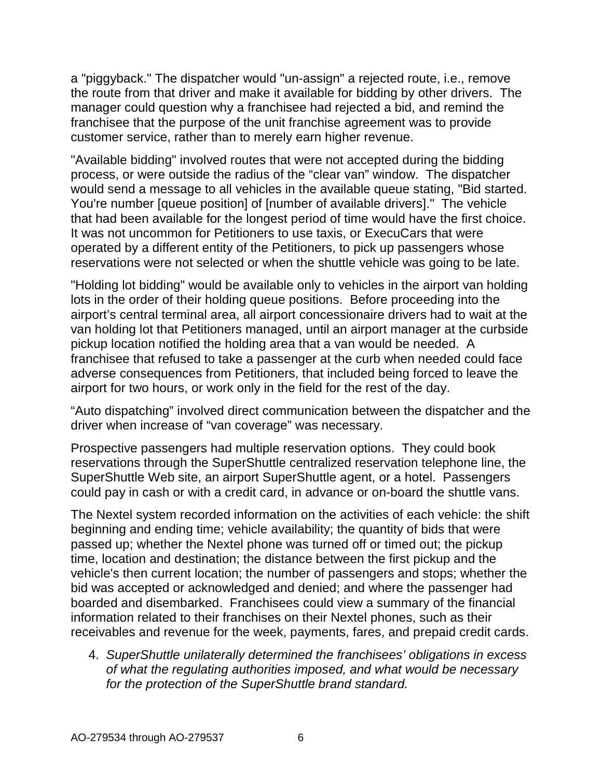a "piggyback." The dispatcher would "un-assign" a rejected route, i.e., remove the route from that driver and make it available for bidding by other drivers. The manager could question why a franchisee had rejected a bid, and remind the franchisee that the purpose of the unit franchise agreement was to provide customer service, rather than to merely earn higher revenue.

"Available bidding" involved routes that were not accepted during the bidding process, or were outside the radius of the "clear van" window. The dispatcher would send a message to all vehicles in the available queue stating, "Bid started. You're number [queue position] of [number of available drivers]." The vehicle that had been available for the longest period of time would have the first choice. It was not uncommon for Petitioners to use taxis, or ExecuCars that were operated by a different entity of the Petitioners, to pick up passengers whose reservations were not selected or when the shuttle vehicle was going to be late.

"Holding lot bidding" would be available only to vehicles in the airport van holding lots in the order of their holding queue positions. Before proceeding into the airport's central terminal area, all airport concessionaire drivers had to wait at the van holding lot that Petitioners managed, until an airport manager at the curbside pickup location notified the holding area that a van would be needed. A franchisee that refused to take a passenger at the curb when needed could face adverse consequences from Petitioners, that included being forced to leave the airport for two hours, or work only in the field for the rest of the day.

"Auto dispatching" involved direct communication between the dispatcher and the driver when increase of "van coverage" was necessary.

Prospective passengers had multiple reservation options. They could book reservations through the SuperShuttle centralized reservation telephone line, the SuperShuttle Web site, an airport SuperShuttle agent, or a hotel. Passengers could pay in cash or with a credit card, in advance or on-board the shuttle vans.

The Nextel system recorded information on the activities of each vehicle: the shift beginning and ending time; vehicle availability; the quantity of bids that were passed up; whether the Nextel phone was turned off or timed out; the pickup time, location and destination; the distance between the first pickup and the vehicle's then current location; the number of passengers and stops; whether the bid was accepted or acknowledged and denied; and where the passenger had boarded and disembarked. Franchisees could view a summary of the financial information related to their franchises on their Nextel phones, such as their receivables and revenue for the week, payments, fares, and prepaid credit cards.

4. *SuperShuttle unilaterally determined the franchisees' obligations in excess of what the regulating authorities imposed, and what would be necessary for the protection of the SuperShuttle brand standard.*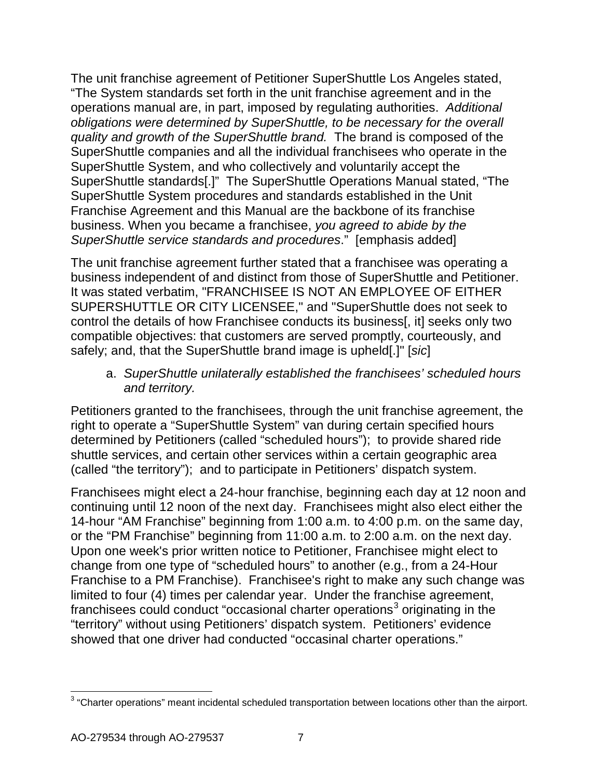The unit franchise agreement of Petitioner SuperShuttle Los Angeles stated, "The System standards set forth in the unit franchise agreement and in the operations manual are, in part, imposed by regulating authorities. *Additional obligations were determined by SuperShuttle, to be necessary for the overall quality and growth of the SuperShuttle brand.* The brand is composed of the SuperShuttle companies and all the individual franchisees who operate in the SuperShuttle System, and who collectively and voluntarily accept the SuperShuttle standards[.]" The SuperShuttle Operations Manual stated, "The SuperShuttle System procedures and standards established in the Unit Franchise Agreement and this Manual are the backbone of its franchise business. When you became a franchisee, *you agreed to abide by the SuperShuttle service standards and procedures*." [emphasis added]

The unit franchise agreement further stated that a franchisee was operating a business independent of and distinct from those of SuperShuttle and Petitioner. It was stated verbatim, "FRANCHISEE IS NOT AN EMPLOYEE OF EITHER SUPERSHUTTLE OR CITY LICENSEE," and "SuperShuttle does not seek to control the details of how Franchisee conducts its business[, it] seeks only two compatible objectives: that customers are served promptly, courteously, and safely; and, that the SuperShuttle brand image is upheld[.]" [*sic*]

a. *SuperShuttle unilaterally established the franchisees' scheduled hours and territory.*

Petitioners granted to the franchisees, through the unit franchise agreement, the right to operate a "SuperShuttle System" van during certain specified hours determined by Petitioners (called "scheduled hours"); to provide shared ride shuttle services, and certain other services within a certain geographic area (called "the territory"); and to participate in Petitioners' dispatch system.

Franchisees might elect a 24-hour franchise, beginning each day at 12 noon and continuing until 12 noon of the next day. Franchisees might also elect either the 14-hour "AM Franchise" beginning from 1:00 a.m. to 4:00 p.m. on the same day, or the "PM Franchise" beginning from 11:00 a.m. to 2:00 a.m. on the next day. Upon one week's prior written notice to Petitioner, Franchisee might elect to change from one type of "scheduled hours" to another (e.g., from a 24-Hour Franchise to a PM Franchise). Franchisee's right to make any such change was limited to four (4) times per calendar year. Under the franchise agreement, franchisees could conduct "occasional charter operations<sup>[3](#page-6-0)</sup> originating in the "territory" without using Petitioners' dispatch system. Petitioners' evidence showed that one driver had conducted "occasinal charter operations."

<span id="page-6-0"></span><sup>&</sup>lt;sup>3</sup> "Charter operations" meant incidental scheduled transportation between locations other than the airport.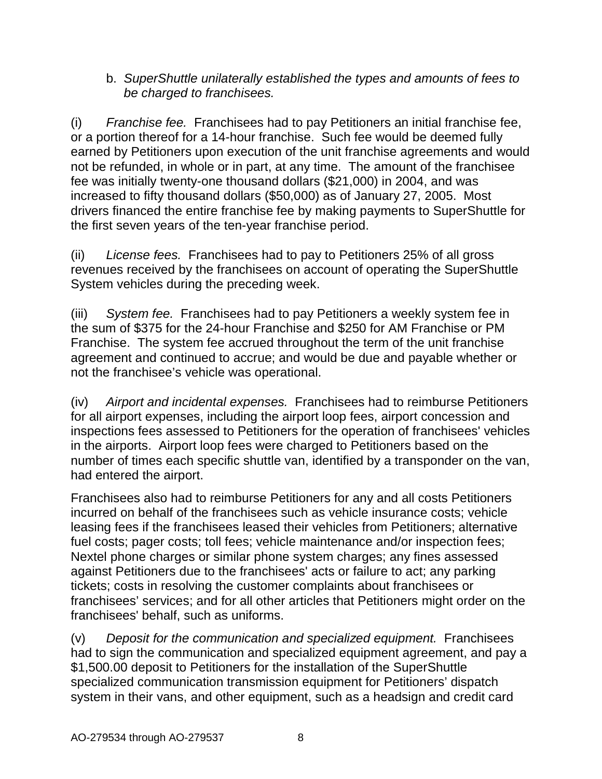### b. *SuperShuttle unilaterally established the types and amounts of fees to be charged to franchisees.*

(i) *Franchise fee.* Franchisees had to pay Petitioners an initial franchise fee, or a portion thereof for a 14-hour franchise. Such fee would be deemed fully earned by Petitioners upon execution of the unit franchise agreements and would not be refunded, in whole or in part, at any time. The amount of the franchisee fee was initially twenty-one thousand dollars (\$21,000) in 2004, and was increased to fifty thousand dollars (\$50,000) as of January 27, 2005. Most drivers financed the entire franchise fee by making payments to SuperShuttle for the first seven years of the ten-year franchise period.

(ii) *License fees.* Franchisees had to pay to Petitioners 25% of all gross revenues received by the franchisees on account of operating the SuperShuttle System vehicles during the preceding week.

(iii) *System fee.* Franchisees had to pay Petitioners a weekly system fee in the sum of \$375 for the 24-hour Franchise and \$250 for AM Franchise or PM Franchise. The system fee accrued throughout the term of the unit franchise agreement and continued to accrue; and would be due and payable whether or not the franchisee's vehicle was operational.

(iv) *Airport and incidental expenses.* Franchisees had to reimburse Petitioners for all airport expenses, including the airport loop fees, airport concession and inspections fees assessed to Petitioners for the operation of franchisees' vehicles in the airports. Airport loop fees were charged to Petitioners based on the number of times each specific shuttle van, identified by a transponder on the van, had entered the airport.

Franchisees also had to reimburse Petitioners for any and all costs Petitioners incurred on behalf of the franchisees such as vehicle insurance costs; vehicle leasing fees if the franchisees leased their vehicles from Petitioners; alternative fuel costs; pager costs; toll fees; vehicle maintenance and/or inspection fees; Nextel phone charges or similar phone system charges; any fines assessed against Petitioners due to the franchisees' acts or failure to act; any parking tickets; costs in resolving the customer complaints about franchisees or franchisees' services; and for all other articles that Petitioners might order on the franchisees' behalf, such as uniforms.

(v) *Deposit for the communication and specialized equipment.* Franchisees had to sign the communication and specialized equipment agreement, and pay a \$1,500.00 deposit to Petitioners for the installation of the SuperShuttle specialized communication transmission equipment for Petitioners' dispatch system in their vans, and other equipment, such as a headsign and credit card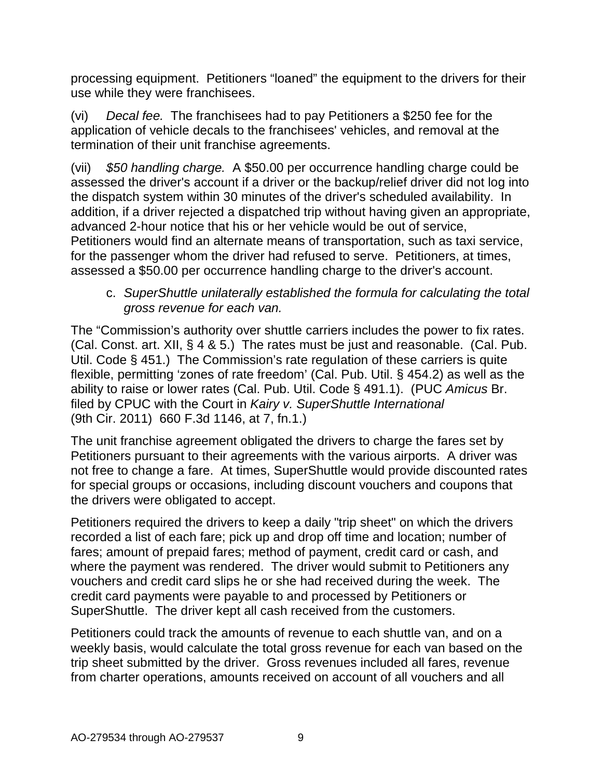processing equipment. Petitioners "loaned" the equipment to the drivers for their use while they were franchisees.

(vi) *Decal fee.* The franchisees had to pay Petitioners a \$250 fee for the application of vehicle decals to the franchisees' vehicles, and removal at the termination of their unit franchise agreements.

(vii) *\$50 handling charge.* A \$50.00 per occurrence handling charge could be assessed the driver's account if a driver or the backup/relief driver did not log into the dispatch system within 30 minutes of the driver's scheduled availability. In addition, if a driver rejected a dispatched trip without having given an appropriate, advanced 2-hour notice that his or her vehicle would be out of service, Petitioners would find an alternate means of transportation, such as taxi service, for the passenger whom the driver had refused to serve. Petitioners, at times, assessed a \$50.00 per occurrence handling charge to the driver's account.

c. *SuperShuttle unilaterally established the formula for calculating the total gross revenue for each van.*

The "Commission's authority over shuttle carriers includes the power to fix rates. (Cal. Const. art. XII, § 4 & 5.) The rates must be just and reasonable. (Cal. Pub. Util. Code  $\S$  451.) The Commission's rate regulation of these carriers is quite flexible, permitting 'zones of rate freedom' (Cal. Pub. Util. § 454.2) as well as the ability to raise or lower rates (Cal. Pub. Util. Code § 491.1). (PUC *Amicus* Br. filed by CPUC with the Court in *Kairy v. SuperShuttle International* (9th Cir. 2011) 660 F.3d 1146, at 7, fn.1.)

The unit franchise agreement obligated the drivers to charge the fares set by Petitioners pursuant to their agreements with the various airports. A driver was not free to change a fare. At times, SuperShuttle would provide discounted rates for special groups or occasions, including discount vouchers and coupons that the drivers were obligated to accept.

Petitioners required the drivers to keep a daily "trip sheet" on which the drivers recorded a list of each fare; pick up and drop off time and location; number of fares; amount of prepaid fares; method of payment, credit card or cash, and where the payment was rendered. The driver would submit to Petitioners any vouchers and credit card slips he or she had received during the week. The credit card payments were payable to and processed by Petitioners or SuperShuttle. The driver kept all cash received from the customers.

Petitioners could track the amounts of revenue to each shuttle van, and on a weekly basis, would calculate the total gross revenue for each van based on the trip sheet submitted by the driver. Gross revenues included all fares, revenue from charter operations, amounts received on account of all vouchers and all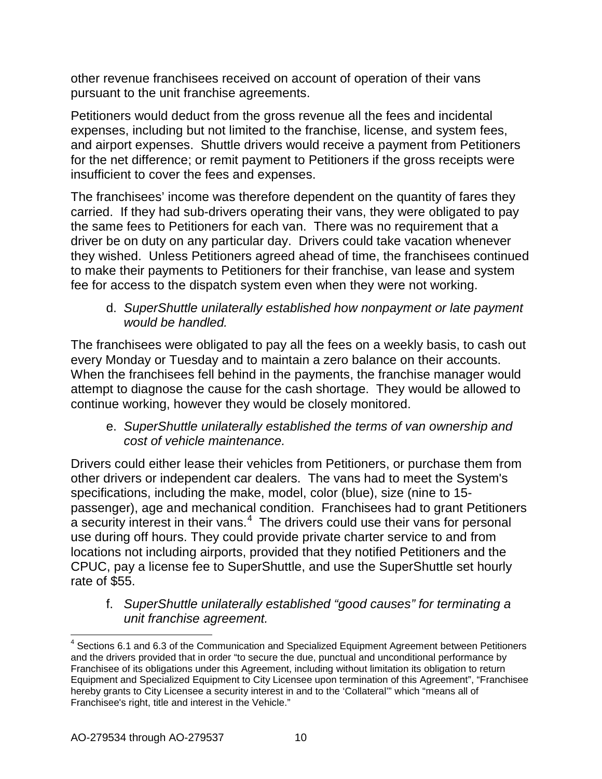other revenue franchisees received on account of operation of their vans pursuant to the unit franchise agreements.

Petitioners would deduct from the gross revenue all the fees and incidental expenses, including but not limited to the franchise, license, and system fees, and airport expenses. Shuttle drivers would receive a payment from Petitioners for the net difference; or remit payment to Petitioners if the gross receipts were insufficient to cover the fees and expenses.

The franchisees' income was therefore dependent on the quantity of fares they carried. If they had sub-drivers operating their vans, they were obligated to pay the same fees to Petitioners for each van. There was no requirement that a driver be on duty on any particular day. Drivers could take vacation whenever they wished. Unless Petitioners agreed ahead of time, the franchisees continued to make their payments to Petitioners for their franchise, van lease and system fee for access to the dispatch system even when they were not working.

d. *SuperShuttle unilaterally established how nonpayment or late payment would be handled.*

The franchisees were obligated to pay all the fees on a weekly basis, to cash out every Monday or Tuesday and to maintain a zero balance on their accounts. When the franchisees fell behind in the payments, the franchise manager would attempt to diagnose the cause for the cash shortage. They would be allowed to continue working, however they would be closely monitored.

e. *SuperShuttle unilaterally established the terms of van ownership and cost of vehicle maintenance.*

Drivers could either lease their vehicles from Petitioners, or purchase them from other drivers or independent car dealers. The vans had to meet the System's specifications, including the make, model, color (blue), size (nine to 15 passenger), age and mechanical condition. Franchisees had to grant Petitioners a security interest in their vans. $4\,$  $4\,$  The drivers could use their vans for personal use during off hours. They could provide private charter service to and from locations not including airports, provided that they notified Petitioners and the CPUC, pay a license fee to SuperShuttle, and use the SuperShuttle set hourly rate of \$55.

f. *SuperShuttle unilaterally established "good causes" for terminating a unit franchise agreement.*

<span id="page-9-0"></span> $<sup>4</sup>$  Sections 6.1 and 6.3 of the Communication and Specialized Equipment Agreement between Petitioners</sup> and the drivers provided that in order "to secure the due, punctual and unconditional performance by Franchisee of its obligations under this Agreement, including without limitation its obligation to return Equipment and Specialized Equipment to City Licensee upon termination of this Agreement", "Franchisee hereby grants to City Licensee a security interest in and to the 'Collateral'" which "means all of Franchisee's right, title and interest in the Vehicle."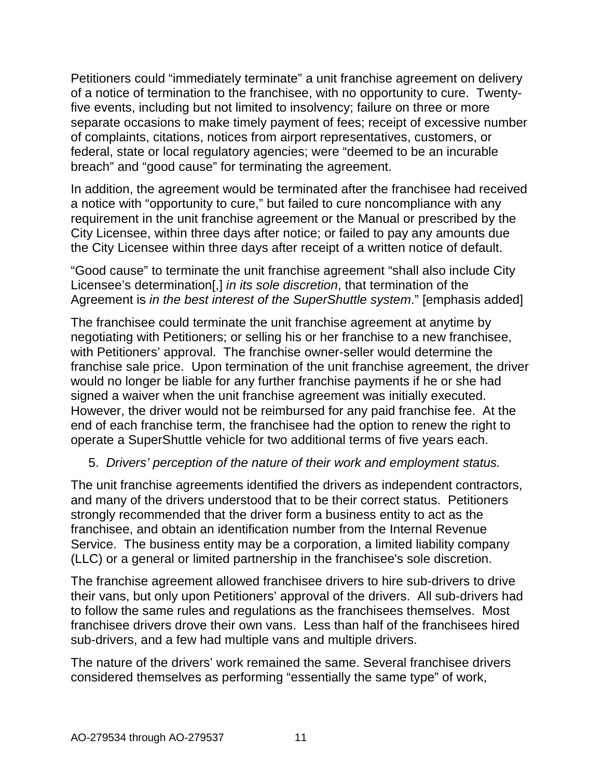Petitioners could "immediately terminate" a unit franchise agreement on delivery of a notice of termination to the franchisee, with no opportunity to cure. Twentyfive events, including but not limited to insolvency; failure on three or more separate occasions to make timely payment of fees; receipt of excessive number of complaints, citations, notices from airport representatives, customers, or federal, state or local regulatory agencies; were "deemed to be an incurable breach" and "good cause" for terminating the agreement.

In addition, the agreement would be terminated after the franchisee had received a notice with "opportunity to cure," but failed to cure noncompliance with any requirement in the unit franchise agreement or the Manual or prescribed by the City Licensee, within three days after notice; or failed to pay any amounts due the City Licensee within three days after receipt of a written notice of default.

"Good cause" to terminate the unit franchise agreement "shall also include City Licensee's determination[,] *in its sole discretion*, that termination of the Agreement is *in the best interest of the SuperShuttle system*." [emphasis added]

The franchisee could terminate the unit franchise agreement at anytime by negotiating with Petitioners; or selling his or her franchise to a new franchisee, with Petitioners' approval. The franchise owner-seller would determine the franchise sale price. Upon termination of the unit franchise agreement, the driver would no longer be liable for any further franchise payments if he or she had signed a waiver when the unit franchise agreement was initially executed. However, the driver would not be reimbursed for any paid franchise fee. At the end of each franchise term, the franchisee had the option to renew the right to operate a SuperShuttle vehicle for two additional terms of five years each.

## 5. *Drivers' perception of the nature of their work and employment status.*

The unit franchise agreements identified the drivers as independent contractors, and many of the drivers understood that to be their correct status. Petitioners strongly recommended that the driver form a business entity to act as the franchisee, and obtain an identification number from the Internal Revenue Service. The business entity may be a corporation, a limited liability company (LLC) or a general or limited partnership in the franchisee's sole discretion.

The franchise agreement allowed franchisee drivers to hire sub-drivers to drive their vans, but only upon Petitioners' approval of the drivers. All sub-drivers had to follow the same rules and regulations as the franchisees themselves. Most franchisee drivers drove their own vans. Less than half of the franchisees hired sub-drivers, and a few had multiple vans and multiple drivers.

The nature of the drivers' work remained the same. Several franchisee drivers considered themselves as performing "essentially the same type" of work,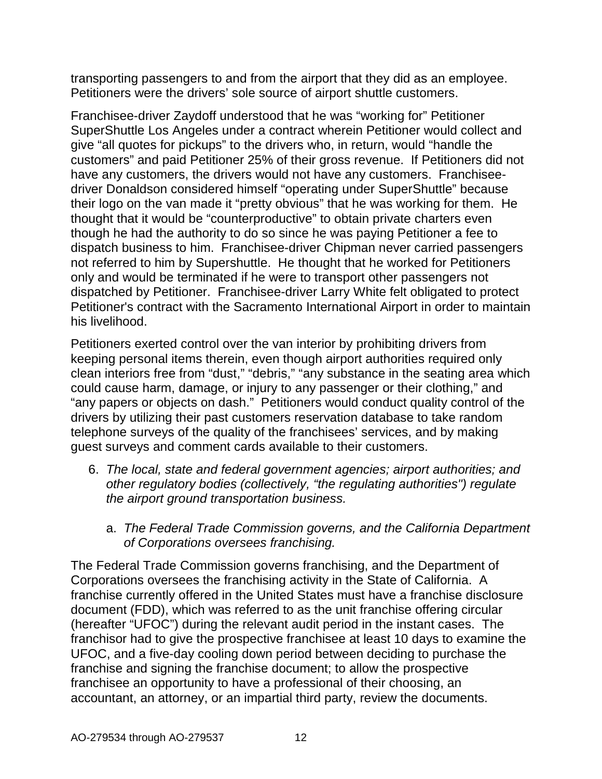transporting passengers to and from the airport that they did as an employee. Petitioners were the drivers' sole source of airport shuttle customers.

Franchisee-driver Zaydoff understood that he was "working for" Petitioner SuperShuttle Los Angeles under a contract wherein Petitioner would collect and give "all quotes for pickups" to the drivers who, in return, would "handle the customers" and paid Petitioner 25% of their gross revenue. If Petitioners did not have any customers, the drivers would not have any customers. Franchiseedriver Donaldson considered himself "operating under SuperShuttle" because their logo on the van made it "pretty obvious" that he was working for them. He thought that it would be "counterproductive" to obtain private charters even though he had the authority to do so since he was paying Petitioner a fee to dispatch business to him. Franchisee-driver Chipman never carried passengers not referred to him by Supershuttle. He thought that he worked for Petitioners only and would be terminated if he were to transport other passengers not dispatched by Petitioner. Franchisee-driver Larry White felt obligated to protect Petitioner's contract with the Sacramento International Airport in order to maintain his livelihood.

Petitioners exerted control over the van interior by prohibiting drivers from keeping personal items therein, even though airport authorities required only clean interiors free from "dust," "debris," "any substance in the seating area which could cause harm, damage, or injury to any passenger or their clothing," and "any papers or objects on dash." Petitioners would conduct quality control of the drivers by utilizing their past customers reservation database to take random telephone surveys of the quality of the franchisees' services, and by making guest surveys and comment cards available to their customers.

- 6. *The local, state and federal government agencies; airport authorities; and other regulatory bodies (collectively, "the regulating authorities") regulate the airport ground transportation business.* 
	- a. *The Federal Trade Commission governs, and the California Department of Corporations oversees franchising.*

The Federal Trade Commission governs franchising, and the Department of Corporations oversees the franchising activity in the State of California. A franchise currently offered in the United States must have a franchise disclosure document (FDD), which was referred to as the unit franchise offering circular (hereafter "UFOC") during the relevant audit period in the instant cases. The franchisor had to give the prospective franchisee at least 10 days to examine the UFOC, and a five-day cooling down period between deciding to purchase the franchise and signing the franchise document; to allow the prospective franchisee an opportunity to have a professional of their choosing, an accountant, an attorney, or an impartial third party, review the documents.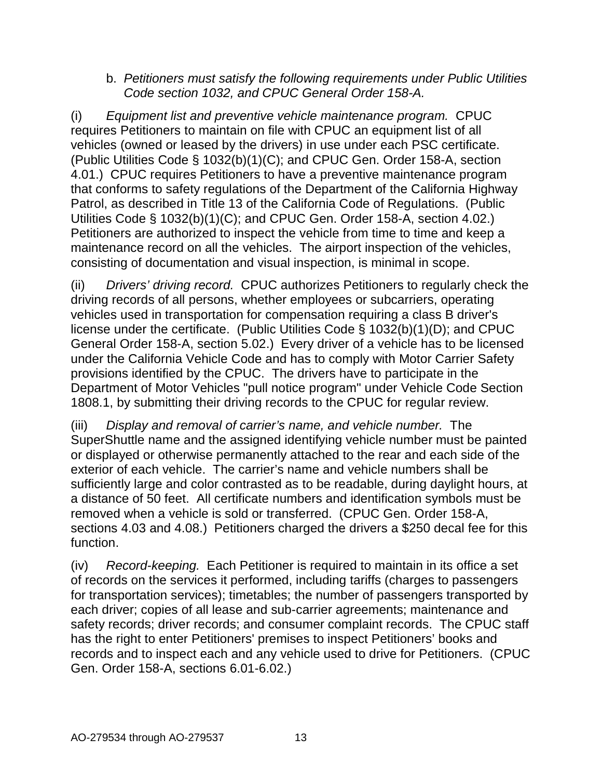#### b. *Petitioners must satisfy the following requirements under Public Utilities Code section 1032, and CPUC General Order 158-A.*

(i) *Equipment list and preventive vehicle maintenance program.* CPUC requires Petitioners to maintain on file with CPUC an equipment list of all vehicles (owned or leased by the drivers) in use under each PSC certificate. (Public Utilities Code § 1032(b)(1)(C); and CPUC Gen. Order 158-A, section 4.01.) CPUC requires Petitioners to have a preventive maintenance program that conforms to safety regulations of the Department of the California Highway Patrol, as described in Title 13 of the California Code of Regulations. (Public Utilities Code § 1032(b)(1)(C); and CPUC Gen. Order 158-A, section 4.02.) Petitioners are authorized to inspect the vehicle from time to time and keep a maintenance record on all the vehicles. The airport inspection of the vehicles, consisting of documentation and visual inspection, is minimal in scope.

(ii) *Drivers' driving record.* CPUC authorizes Petitioners to regularly check the driving records of all persons, whether employees or subcarriers, operating vehicles used in transportation for compensation requiring a class B driver's license under the certificate. (Public Utilities Code § 1032(b)(1)(D); and CPUC General Order 158-A, section 5.02.) Every driver of a vehicle has to be licensed under the California Vehicle Code and has to comply with Motor Carrier Safety provisions identified by the CPUC. The drivers have to participate in the Department of Motor Vehicles "pull notice program" under Vehicle Code Section 1808.1, by submitting their driving records to the CPUC for regular review.

(iii) *Display and removal of carrier's name, and vehicle number.* The SuperShuttle name and the assigned identifying vehicle number must be painted or displayed or otherwise permanently attached to the rear and each side of the exterior of each vehicle. The carrier's name and vehicle numbers shall be sufficiently large and color contrasted as to be readable, during daylight hours, at a distance of 50 feet. All certificate numbers and identification symbols must be removed when a vehicle is sold or transferred. (CPUC Gen. Order 158-A, sections 4.03 and 4.08.) Petitioners charged the drivers a \$250 decal fee for this function.

(iv) *Record-keeping.* Each Petitioner is required to maintain in its office a set of records on the services it performed, including tariffs (charges to passengers for transportation services); timetables; the number of passengers transported by each driver; copies of all lease and sub-carrier agreements; maintenance and safety records; driver records; and consumer complaint records. The CPUC staff has the right to enter Petitioners' premises to inspect Petitioners' books and records and to inspect each and any vehicle used to drive for Petitioners. (CPUC Gen. Order 158-A, sections 6.01-6.02.)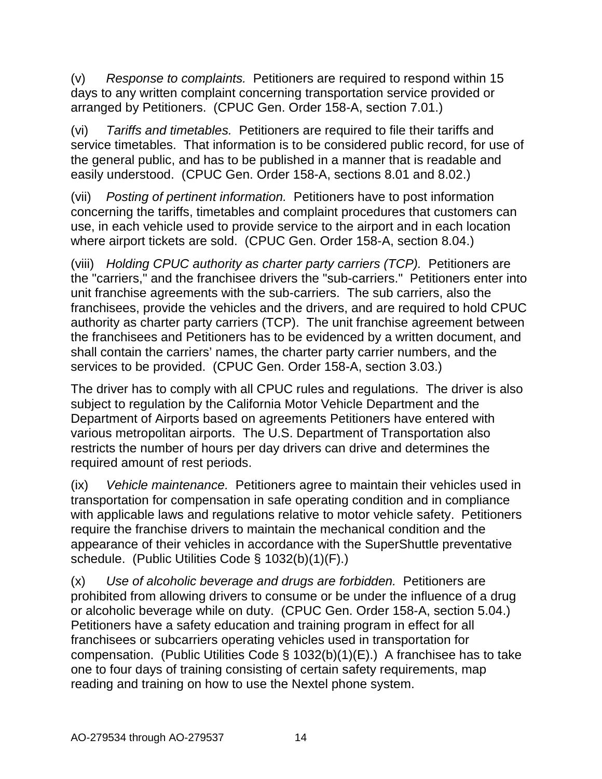(v) *Response to complaints.* Petitioners are required to respond within 15 days to any written complaint concerning transportation service provided or arranged by Petitioners. (CPUC Gen. Order 158-A, section 7.01.)

(vi) *Tariffs and timetables.* Petitioners are required to file their tariffs and service timetables. That information is to be considered public record, for use of the general public, and has to be published in a manner that is readable and easily understood. (CPUC Gen. Order 158-A, sections 8.01 and 8.02.)

(vii) *Posting of pertinent information.* Petitioners have to post information concerning the tariffs, timetables and complaint procedures that customers can use, in each vehicle used to provide service to the airport and in each location where airport tickets are sold. (CPUC Gen. Order 158-A, section 8.04.)

(viii) *Holding CPUC authority as charter party carriers (TCP).* Petitioners are the "carriers," and the franchisee drivers the "sub-carriers." Petitioners enter into unit franchise agreements with the sub-carriers. The sub carriers, also the franchisees, provide the vehicles and the drivers, and are required to hold CPUC authority as charter party carriers (TCP). The unit franchise agreement between the franchisees and Petitioners has to be evidenced by a written document, and shall contain the carriers' names, the charter party carrier numbers, and the services to be provided. (CPUC Gen. Order 158-A, section 3.03.)

The driver has to comply with all CPUC rules and regulations. The driver is also subject to regulation by the California Motor Vehicle Department and the Department of Airports based on agreements Petitioners have entered with various metropolitan airports. The U.S. Department of Transportation also restricts the number of hours per day drivers can drive and determines the required amount of rest periods.

(ix) *Vehicle maintenance.* Petitioners agree to maintain their vehicles used in transportation for compensation in safe operating condition and in compliance with applicable laws and regulations relative to motor vehicle safety. Petitioners require the franchise drivers to maintain the mechanical condition and the appearance of their vehicles in accordance with the SuperShuttle preventative schedule. (Public Utilities Code § 1032(b)(1)(F).)

(x) *Use of alcoholic beverage and drugs are forbidden.* Petitioners are prohibited from allowing drivers to consume or be under the influence of a drug or alcoholic beverage while on duty. (CPUC Gen. Order 158-A, section 5.04.) Petitioners have a safety education and training program in effect for all franchisees or subcarriers operating vehicles used in transportation for compensation. (Public Utilities Code § 1032(b)(1)(E).) A franchisee has to take one to four days of training consisting of certain safety requirements, map reading and training on how to use the Nextel phone system.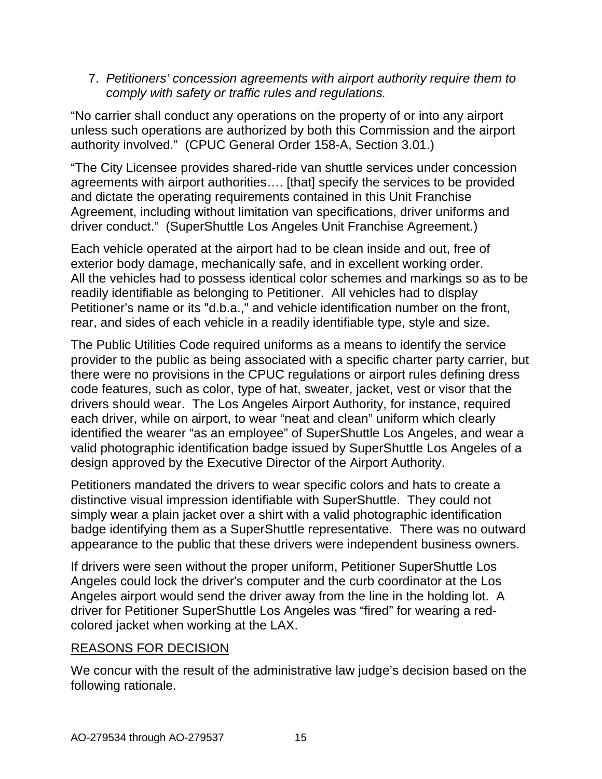7. *Petitioners' concession agreements with airport authority require them to comply with safety or traffic rules and regulations.*

"No carrier shall conduct any operations on the property of or into any airport unless such operations are authorized by both this Commission and the airport authority involved." (CPUC General Order 158-A, Section 3.01.)

"The City Licensee provides shared-ride van shuttle services under concession agreements with airport authorities…. [that] specify the services to be provided and dictate the operating requirements contained in this Unit Franchise Agreement, including without limitation van specifications, driver uniforms and driver conduct." (SuperShuttle Los Angeles Unit Franchise Agreement.)

Each vehicle operated at the airport had to be clean inside and out, free of exterior body damage, mechanically safe, and in excellent working order. All the vehicles had to possess identical color schemes and markings so as to be readily identifiable as belonging to Petitioner. All vehicles had to display Petitioner's name or its "d.b.a.," and vehicle identification number on the front, rear, and sides of each vehicle in a readily identifiable type, style and size.

The Public Utilities Code required uniforms as a means to identify the service provider to the public as being associated with a specific charter party carrier, but there were no provisions in the CPUC regulations or airport rules defining dress code features, such as color, type of hat, sweater, jacket, vest or visor that the drivers should wear. The Los Angeles Airport Authority, for instance, required each driver, while on airport, to wear "neat and clean" uniform which clearly identified the wearer "as an employee" of SuperShuttle Los Angeles, and wear a valid photographic identification badge issued by SuperShuttle Los Angeles of a design approved by the Executive Director of the Airport Authority.

Petitioners mandated the drivers to wear specific colors and hats to create a distinctive visual impression identifiable with SuperShuttle. They could not simply wear a plain jacket over a shirt with a valid photographic identification badge identifying them as a SuperShuttle representative. There was no outward appearance to the public that these drivers were independent business owners.

If drivers were seen without the proper uniform, Petitioner SuperShuttle Los Angeles could lock the driver's computer and the curb coordinator at the Los Angeles airport would send the driver away from the line in the holding lot. A driver for Petitioner SuperShuttle Los Angeles was "fired" for wearing a redcolored jacket when working at the LAX.

## REASONS FOR DECISION

We concur with the result of the administrative law judge's decision based on the following rationale.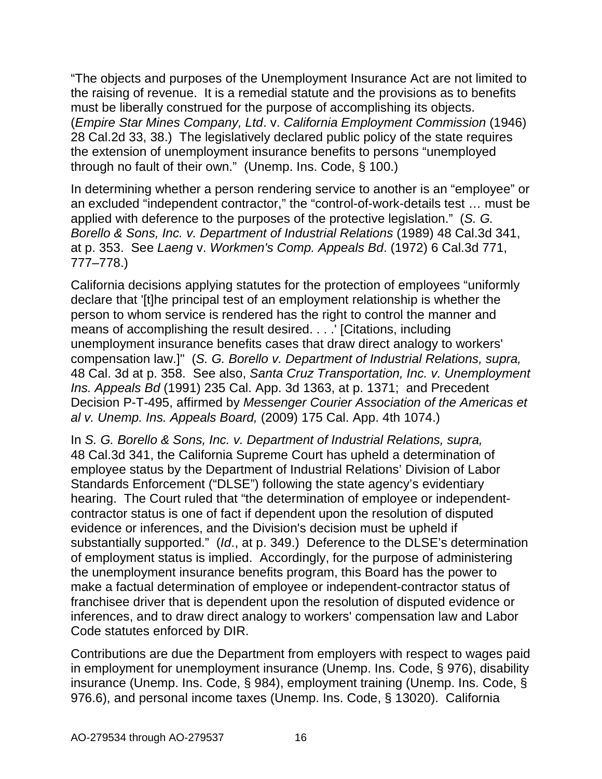"The objects and purposes of the Unemployment Insurance Act are not limited to the raising of revenue. It is a remedial statute and the provisions as to benefits must be liberally construed for the purpose of accomplishing its objects. (*Empire Star Mines Company, Ltd*. v. *California Employment Commission* (1946) 28 Cal.2d 33, 38.) The legislatively declared public policy of the state requires the extension of unemployment insurance benefits to persons "unemployed through no fault of their own." (Unemp. Ins. Code, § 100.)

In determining whether a person rendering service to another is an "employee" or an excluded "independent contractor," the "control-of-work-details test … must be applied with deference to the purposes of the protective legislation." (*S. G. Borello & Sons, Inc. v. Department of Industrial Relations* (1989) 48 Cal.3d 341, at p. 353. See *Laeng* v. *Workmen's Comp. Appeals Bd*. (1972) 6 Cal.3d 771, 777–778.)

California decisions applying statutes for the protection of employees "uniformly declare that '[t]he principal test of an employment relationship is whether the person to whom service is rendered has the right to control the manner and means of accomplishing the result desired. . . .' [Citations, including unemployment insurance benefits cases that draw direct analogy to workers' compensation law.]" (*S. G. Borello v. Department of Industrial Relations, supra,*  48 Cal. 3d at p. 358. See also, *Santa Cruz Transportation, Inc. v. Unemployment Ins. Appeals Bd* (1991) 235 Cal. App. 3d 1363, at p. 1371; and Precedent Decision P-T-495, affirmed by *Messenger Courier Association of the Americas et al v. Unemp. Ins. Appeals Board,* (2009) 175 Cal. App. 4th 1074.)

In *S. G. Borello & Sons, Inc. v. Department of Industrial Relations, supra,*  48 Cal.3d 341, the California Supreme Court has upheld a determination of employee status by the Department of Industrial Relations' Division of Labor Standards Enforcement ("DLSE") following the state agency's evidentiary hearing. The Court ruled that "the determination of employee or independentcontractor status is one of fact if dependent upon the resolution of disputed evidence or inferences, and the Division's decision must be upheld if substantially supported." (*Id*., at p. 349.) Deference to the DLSE's determination of employment status is implied. Accordingly, for the purpose of administering the unemployment insurance benefits program, this Board has the power to make a factual determination of employee or independent-contractor status of franchisee driver that is dependent upon the resolution of disputed evidence or inferences, and to draw direct analogy to workers' compensation law and Labor Code statutes enforced by DIR.

Contributions are due the Department from employers with respect to wages paid in employment for unemployment insurance (Unemp. Ins. Code, § 976), disability insurance (Unemp. Ins. Code, § 984), employment training (Unemp. Ins. Code, § 976.6), and personal income taxes (Unemp. Ins. Code, § 13020). California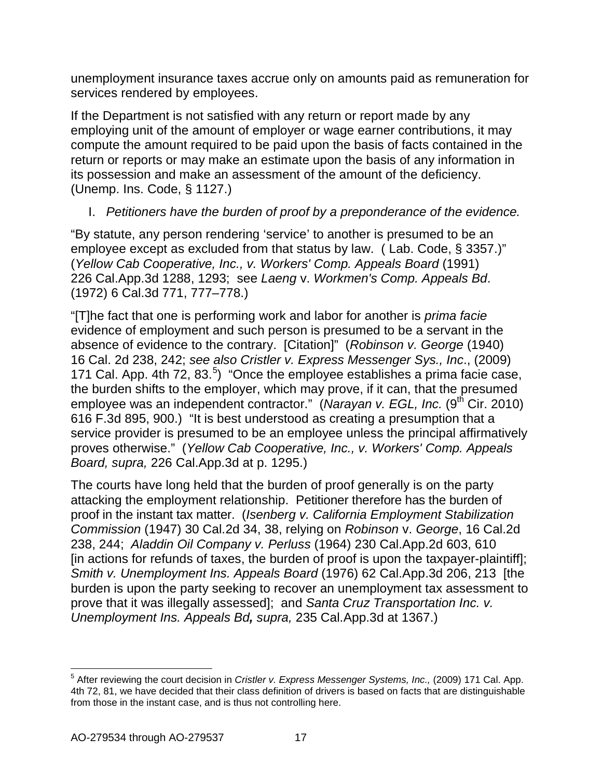unemployment insurance taxes accrue only on amounts paid as remuneration for services rendered by employees.

If the Department is not satisfied with any return or report made by any employing unit of the amount of employer or wage earner contributions, it may compute the amount required to be paid upon the basis of facts contained in the return or reports or may make an estimate upon the basis of any information in its possession and make an assessment of the amount of the deficiency. (Unemp. Ins. Code, § 1127.)

## I. *Petitioners have the burden of proof by a preponderance of the evidence.*

"By statute, any person rendering 'service' to another is presumed to be an employee except as excluded from that status by law. ( Lab. Code, § 3357.)" (*Yellow Cab Cooperative, Inc., v. Workers' Comp. Appeals Board* (1991) 226 Cal.App.3d 1288, 1293; see *Laeng* v. *Workmen's Comp. Appeals Bd*. (1972) 6 Cal.3d 771, 777–778.)

"[T]he fact that one is performing work and labor for another is *prima facie* evidence of employment and such person is presumed to be a servant in the absence of evidence to the contrary. [Citation]" (*Robinson v. George* (1940) 16 Cal. 2d 238, 242; *see also Cristler v. Express Messenger Sys., Inc*., (2009) 171 Cal. App. 4th 72, 83. $^5$  $^5$ ) "Once the employee establishes a prima facie case, the burden shifts to the employer, which may prove, if it can, that the presumed employee was an independent contractor." (*Narayan v. EGL, Inc.* (9<sup>th</sup> Cir. 2010) 616 F.3d 895, 900.) "It is best understood as creating a presumption that a service provider is presumed to be an employee unless the principal affirmatively proves otherwise." (*Yellow Cab Cooperative, Inc., v. Workers' Comp. Appeals Board, supra,* 226 Cal.App.3d at p. 1295.)

The courts have long held that the burden of proof generally is on the party attacking the employment relationship. Petitioner therefore has the burden of proof in the instant tax matter. (*Isenberg v. California Employment Stabilization Commission* (1947) 30 Cal.2d 34, 38, relying on *Robinson* v. *George*[, 16 Cal.2d](http://www.lexis.com/research/buttonTFLink?_m=4556867222217bcd242bf0a122fd4401&_xfercite=%3ccite%20cc%3d%22USA%22%3e%3c%21%5bCDATA%5b30%20Cal.%202d%2034%5d%5d%3e%3c%2fcite%3e&_butType=3&_butStat=2&_butNum=35&_butInline=1&_butinfo=%3ccite%20cc%3d%22USA%22%3e%3c%21%5bCDATA%5b16%20Cal.%202d%20238%2c%20244%5d%5d%3e%3c%2fcite%3e&_fmtstr=FULL&docnum=1&_startdoc=1&wchp=dGLzVzB-zSkAW&_md5=bc66289ae5aad27a0c0e0424e91b4fe3)  [238, 244;](http://www.lexis.com/research/buttonTFLink?_m=4556867222217bcd242bf0a122fd4401&_xfercite=%3ccite%20cc%3d%22USA%22%3e%3c%21%5bCDATA%5b30%20Cal.%202d%2034%5d%5d%3e%3c%2fcite%3e&_butType=3&_butStat=2&_butNum=35&_butInline=1&_butinfo=%3ccite%20cc%3d%22USA%22%3e%3c%21%5bCDATA%5b16%20Cal.%202d%20238%2c%20244%5d%5d%3e%3c%2fcite%3e&_fmtstr=FULL&docnum=1&_startdoc=1&wchp=dGLzVzB-zSkAW&_md5=bc66289ae5aad27a0c0e0424e91b4fe3) *Aladdin Oil Company v. Perluss* (1964) 230 Cal.App.2d 603, 610 [in actions for refunds of taxes, the burden of proof is upon the taxpayer-plaintiff]; *Smith v. Unemployment Ins. Appeals Board* (1976) 62 Cal.App.3d 206, 213 [the burden is upon the party seeking to recover an unemployment tax assessment to prove that it was illegally assessed]; and *[Santa Cruz Transportation Inc. v.](http://www.lexis.com/research/buttonTFLink?_m=a8cdba79eaae84a9b3dfae2598f17b79&_xfercite=%3ccite%20cc%3d%22USA%22%3e%3c%21%5bCDATA%5b175%20Cal.%20App.%204th%201074%5d%5d%3e%3c%2fcite%3e&_butType=3&_butStat=2&_butNum=166&_butInline=1&_butinfo=%3ccite%20cc%3d%22USA%22%3e%3c%21%5bCDATA%5b235%20Cal.%20App.%203d%201363%2c%201367%5d%5d%3e%3c%2fcite%3e&_fmtstr=FULL&docnum=3&_startdoc=1&wchp=dGLbVzt-zSkAz&_md5=62c7b1f20a25a3977fad19ad654f3bf4)  [Unemployment Ins. Appeals Bd](http://www.lexis.com/research/buttonTFLink?_m=a8cdba79eaae84a9b3dfae2598f17b79&_xfercite=%3ccite%20cc%3d%22USA%22%3e%3c%21%5bCDATA%5b175%20Cal.%20App.%204th%201074%5d%5d%3e%3c%2fcite%3e&_butType=3&_butStat=2&_butNum=166&_butInline=1&_butinfo=%3ccite%20cc%3d%22USA%22%3e%3c%21%5bCDATA%5b235%20Cal.%20App.%203d%201363%2c%201367%5d%5d%3e%3c%2fcite%3e&_fmtstr=FULL&docnum=3&_startdoc=1&wchp=dGLbVzt-zSkAz&_md5=62c7b1f20a25a3977fad19ad654f3bf4), supra,* 235 Cal.App.3d at 1367.)

<span id="page-16-0"></span> <sup>5</sup> After reviewing the court decision in *Cristler v. Express Messenger Systems, Inc.,* (2009) 171 Cal. App. 4th 72, 81, we have decided that their class definition of drivers is based on facts that are distinguishable from those in the instant case, and is thus not controlling here.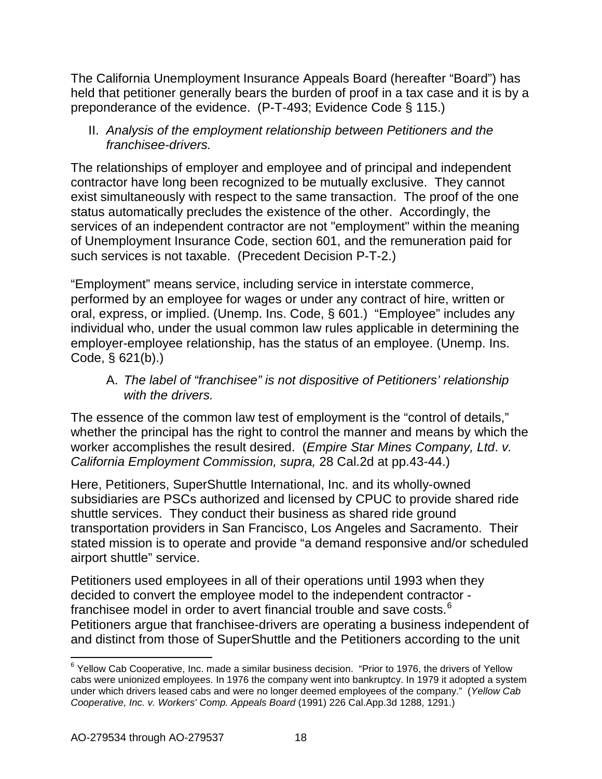The California Unemployment Insurance Appeals Board (hereafter "Board") has held that petitioner generally bears the burden of proof in a tax case and it is by a preponderance of the evidence. (P-T-493; Evidence Code § 115.)

II. *Analysis of the employment relationship between Petitioners and the franchisee-drivers.*

The relationships of employer and employee and of principal and independent contractor have long been recognized to be mutually exclusive. They cannot exist simultaneously with respect to the same transaction. The proof of the one status automatically precludes the existence of the other. Accordingly, the services of an independent contractor are not "employment" within the meaning of Unemployment Insurance Code, section 601, and the remuneration paid for such services is not taxable. (Precedent Decision P-T-2.)

"Employment" means service, including service in interstate commerce, performed by an employee for wages or under any contract of hire, written or oral, express, or implied. (Unemp. Ins. Code, § 601.) "Employee" includes any individual who, under the usual common law rules applicable in determining the employer-employee relationship, has the status of an employee. (Unemp. Ins. Code, § 621(b).)

A. *The label of "franchisee" is not dispositive of Petitioners' relationship with the drivers.*

The essence of the common law test of employment is the "control of details," whether the principal has the right to control the manner and means by which the worker accomplishes the result desired. (*Empire Star Mines Company, Ltd*. *v. California Employment Commission, supra,* 28 Cal.2d at pp.43-44.)

Here, Petitioners, SuperShuttle International, Inc. and its wholly-owned subsidiaries are PSCs authorized and licensed by CPUC to provide shared ride shuttle services. They conduct their business as shared ride ground transportation providers in San Francisco, Los Angeles and Sacramento. Their stated mission is to operate and provide "a demand responsive and/or scheduled airport shuttle" service.

Petitioners used employees in all of their operations until 1993 when they decided to convert the employee model to the independent contractor - franchisee model in order to avert financial trouble and save costs.<sup>[6](#page-17-0)</sup> Petitioners argue that franchisee-drivers are operating a business independent of and distinct from those of SuperShuttle and the Petitioners according to the unit

<span id="page-17-0"></span> $6$  Yellow Cab Cooperative, Inc. made a similar business decision. "Prior to 1976, the drivers of Yellow cabs were unionized employees. In 1976 the company went into bankruptcy. In 1979 it adopted a system under which drivers leased cabs and were no longer deemed employees of the company." (*Yellow Cab Cooperative, Inc. v. Workers' Comp. Appeals Board* (1991) 226 Cal.App.3d 1288, 1291.)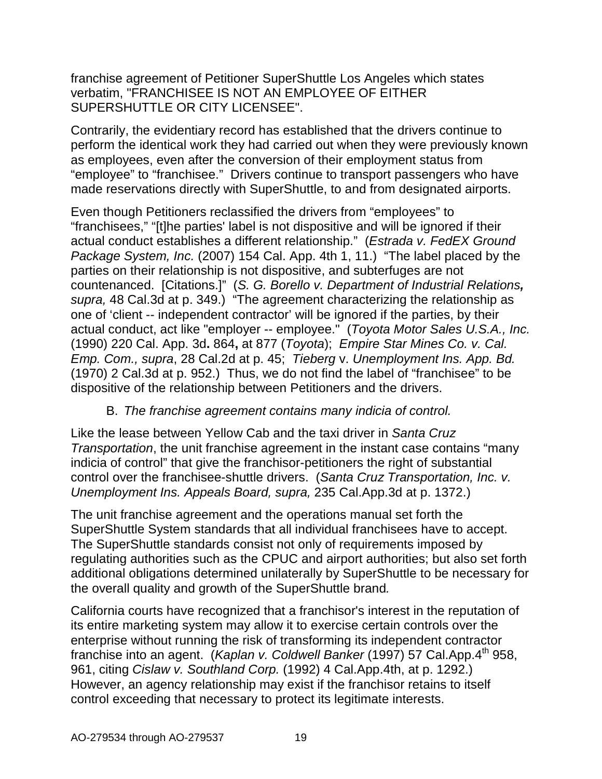franchise agreement of Petitioner SuperShuttle Los Angeles which states verbatim, "FRANCHISEE IS NOT AN EMPLOYEE OF EITHER SUPERSHUTTLE OR CITY LICENSEE".

Contrarily, the evidentiary record has established that the drivers continue to perform the identical work they had carried out when they were previously known as employees, even after the conversion of their employment status from "employee" to "franchisee." Drivers continue to transport passengers who have made reservations directly with SuperShuttle, to and from designated airports.

Even though Petitioners reclassified the drivers from "employees" to "franchisees," "[t]he parties' label is not dispositive and will be ignored if their actual conduct establishes a different relationship." (*Estrada v. FedEX Ground Package System, Inc.* (2007) 154 Cal. App. 4th 1, 11.) "The label placed by the parties on their relationship is not dispositive, and subterfuges are not countenanced. [Citations.]" (*S. G. Borello v. Department of Industrial Relations, supra,* 48 Cal.3d at p. 349.) "The agreement characterizing the relationship as one of 'client -- independent contractor' will be ignored if the parties, by their actual conduct, act like "employer -- employee." (*Toyota Motor Sales U.S.A., Inc.* (1990) 220 Cal. App. 3d**.** 864**,** at 877 (*Toyota*); *Empire Star Mines Co. v. Cal. Emp. Com., supra*, 28 Cal.2d at p. 45; *Tieberg* v. *Unemployment Ins. App. Bd.* (1970) 2 Cal.3d at p. 952.) Thus, we do not find the label of "franchisee" to be dispositive of the relationship between Petitioners and the drivers.

## B. *The franchise agreement contains many indicia of control.*

Like the lease between Yellow Cab and the taxi driver in *Santa Cruz Transportation*, the unit franchise agreement in the instant case contains "many indicia of control" that give the franchisor-petitioners the right of substantial control over the franchisee-shuttle drivers. (*Santa Cruz Transportation, Inc. v. Unemployment Ins. Appeals Board, supra,* 235 Cal.App.3d at p. 1372.)

The unit franchise agreement and the operations manual set forth the SuperShuttle System standards that all individual franchisees have to accept. The SuperShuttle standards consist not only of requirements imposed by regulating authorities such as the CPUC and airport authorities; but also set forth additional obligations determined unilaterally by SuperShuttle to be necessary for the overall quality and growth of the SuperShuttle brand*.*

California courts have recognized that a franchisor's interest in the reputation of its entire marketing system may allow it to exercise certain controls over the enterprise without running the risk of transforming its independent contractor franchise into an agent. (*Kaplan v. Coldwell Banker* (1997) 57 Cal.App.4<sup>th</sup> 958, 961, citing *Cislaw v. Southland Corp.* [\(1992\) 4 Cal.App.4th, at p. 1292.](http://www.lexis.com/research/buttonTFLink?_m=9ac543d31d9ebf26d82f7db6eba849bc&_xfercite=%3ccite%20cc%3d%22USA%22%3e%3c%21%5bCDATA%5b57%20Cal.%20App.%204th%20958%5d%5d%3e%3c%2fcite%3e&_butType=3&_butStat=2&_butNum=15&_butInline=1&_butinfo=%3ccite%20cc%3d%22USA%22%3e%3c%21%5bCDATA%5b4%20Cal.%20App.%204th%201284%5d%5d%3e%3c%2fcite%3e&_fmtstr=FULL&docnum=1&_startdoc=1&wchp=dGLzVzV-zSkAW&_md5=d37c6c366d6e97111848c9e95b090a66)) However, an agency relationship may exist if the franchisor retains to itself control exceeding that necessary to protect its legitimate interests.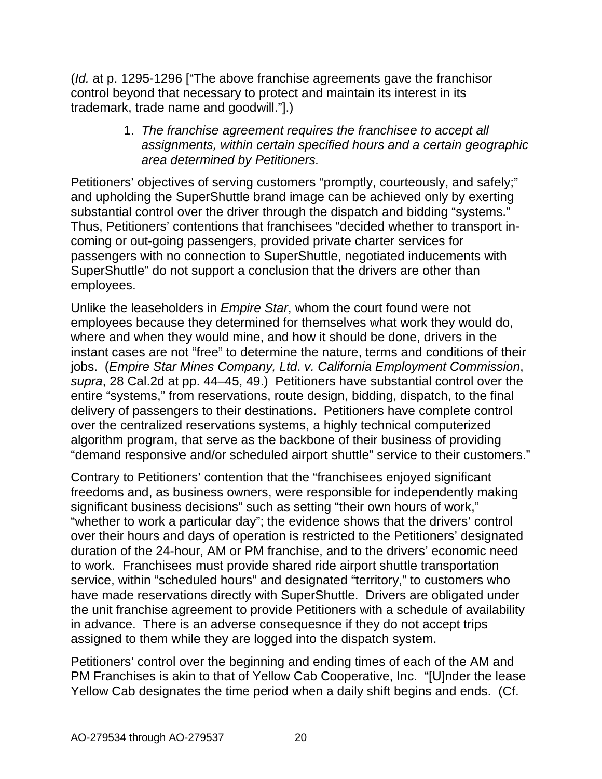(*Id.* at p. 1295-1296 ["The above franchise agreements gave the franchisor control beyond that necessary to protect and maintain its interest in its trademark, trade name and goodwill."].)

> 1. *The franchise agreement requires the franchisee to accept all assignments, within certain specified hours and a certain geographic area determined by Petitioners.*

Petitioners' objectives of serving customers "promptly, courteously, and safely;" and upholding the SuperShuttle brand image can be achieved only by exerting substantial control over the driver through the dispatch and bidding "systems." Thus, Petitioners' contentions that franchisees "decided whether to transport incoming or out-going passengers, provided private charter services for passengers with no connection to SuperShuttle, negotiated inducements with SuperShuttle" do not support a conclusion that the drivers are other than employees.

Unlike the leaseholders in *Empire Star*, whom the court found were not employees because they determined for themselves what work they would do, where and when they would mine, and how it should be done, drivers in the instant cases are not "free" to determine the nature, terms and conditions of their jobs. (*Empire Star Mines Company, Ltd*. *v. California Employment Commission*, *supra*, 28 Cal.2d at pp. 44–45, 49.) Petitioners have substantial control over the entire "systems," from reservations, route design, bidding, dispatch, to the final delivery of passengers to their destinations. Petitioners have complete control over the centralized reservations systems, a highly technical computerized algorithm program, that serve as the backbone of their business of providing "demand responsive and/or scheduled airport shuttle" service to their customers."

Contrary to Petitioners' contention that the "franchisees enjoyed significant freedoms and, as business owners, were responsible for independently making significant business decisions" such as setting "their own hours of work," "whether to work a particular day"; the evidence shows that the drivers' control over their hours and days of operation is restricted to the Petitioners' designated duration of the 24-hour, AM or PM franchise, and to the drivers' economic need to work. Franchisees must provide shared ride airport shuttle transportation service, within "scheduled hours" and designated "territory," to customers who have made reservations directly with SuperShuttle. Drivers are obligated under the unit franchise agreement to provide Petitioners with a schedule of availability in advance. There is an adverse consequesnce if they do not accept trips assigned to them while they are logged into the dispatch system.

Petitioners' control over the beginning and ending times of each of the AM and PM Franchises is akin to that of Yellow Cab Cooperative, Inc. "[U]nder the lease Yellow Cab designates the time period when a daily shift begins and ends. (Cf.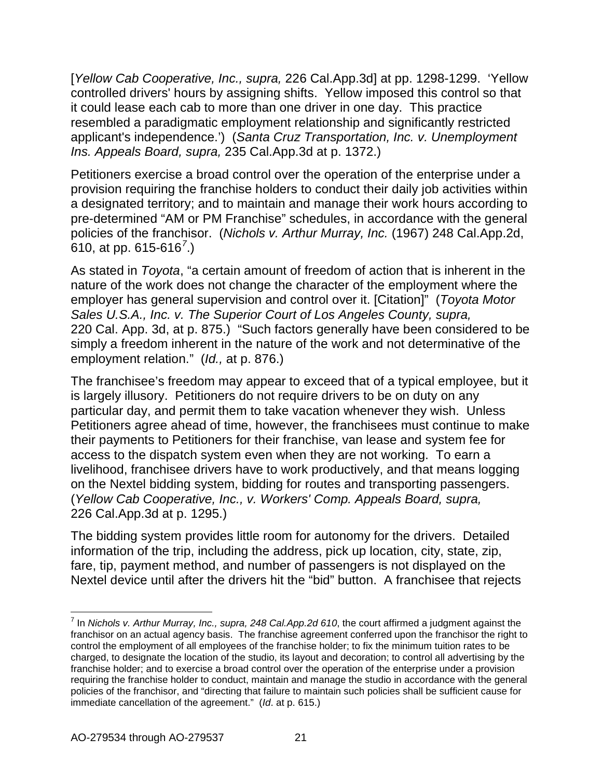[*Yellow Cab Cooperative, Inc., supra,* 226 Cal.App.3d] at pp. 1298-1299. 'Yellow controlled drivers' hours by assigning shifts. Yellow imposed this control so that it could lease each cab to more than one driver in one day. This practice resembled a paradigmatic employment relationship and significantly restricted applicant's independence.') (*[Santa Cruz Transportation, Inc. v. Unemployment](http://www.lexis.com/research/buttonTFLink?_m=a8cdba79eaae84a9b3dfae2598f17b79&_xfercite=%3ccite%20cc%3d%22USA%22%3e%3c%21%5bCDATA%5b175%20Cal.%20App.%204th%201074%5d%5d%3e%3c%2fcite%3e&_butType=3&_butStat=2&_butNum=166&_butInline=1&_butinfo=%3ccite%20cc%3d%22USA%22%3e%3c%21%5bCDATA%5b235%20Cal.%20App.%203d%201363%2c%201367%5d%5d%3e%3c%2fcite%3e&_fmtstr=FULL&docnum=3&_startdoc=1&wchp=dGLbVzt-zSkAz&_md5=62c7b1f20a25a3977fad19ad654f3bf4)  Ins. Appeals Board, supra,* [235 Cal.App.3d at p. 1372.\)](http://www.lexis.com/research/buttonTFLink?_m=a8cdba79eaae84a9b3dfae2598f17b79&_xfercite=%3ccite%20cc%3d%22USA%22%3e%3c%21%5bCDATA%5b175%20Cal.%20App.%204th%201074%5d%5d%3e%3c%2fcite%3e&_butType=3&_butStat=2&_butNum=166&_butInline=1&_butinfo=%3ccite%20cc%3d%22USA%22%3e%3c%21%5bCDATA%5b235%20Cal.%20App.%203d%201363%2c%201367%5d%5d%3e%3c%2fcite%3e&_fmtstr=FULL&docnum=3&_startdoc=1&wchp=dGLbVzt-zSkAz&_md5=62c7b1f20a25a3977fad19ad654f3bf4)

Petitioners exercise a broad control over the operation of the enterprise under a provision requiring the franchise holders to conduct their daily job activities within a designated territory; and to maintain and manage their work hours according to pre-determined "AM or PM Franchise" schedules, in accordance with the general policies of the franchisor. (*Nichols v. Arthur Murray, Inc.* (1967) 248 Cal.App.2d, 610, at pp. 615-616*[7](#page-20-0)* .)

As stated in *Toyota*, "a certain amount of freedom of action that is inherent in the nature of the work does not change the character of the employment where the employer has general supervision and control over it. [Citation]" (*Toyota Motor Sales U.S.A., Inc. v. The Superior Court of Los Angeles County, supra,*  220 Cal. App. 3d, at p. 875.) "Such factors generally have been considered to be simply a freedom inherent in the nature of the work and not determinative of the employment relation." (*Id.,* at p. 876.)

The franchisee's freedom may appear to exceed that of a typical employee, but it is largely illusory. Petitioners do not require drivers to be on duty on any particular day, and permit them to take vacation whenever they wish. Unless Petitioners agree ahead of time, however, the franchisees must continue to make their payments to Petitioners for their franchise, van lease and system fee for access to the dispatch system even when they are not working. To earn a livelihood, franchisee drivers have to work productively, and that means logging on the Nextel bidding system, bidding for routes and transporting passengers. (*Yellow Cab Cooperative, Inc., v. Workers' Comp. Appeals Board, supra,* 226 Cal.App.3d at p. 1295.)

The bidding system provides little room for autonomy for the drivers. Detailed information of the trip, including the address, pick up location, city, state, zip, fare, tip, payment method, and number of passengers is not displayed on the Nextel device until after the drivers hit the "bid" button. A franchisee that rejects

<span id="page-20-0"></span> <sup>7</sup> In *Nichols v. Arthur Murray, Inc., supra, 248 Cal.App.2d 610*, the court affirmed a judgment against the franchisor on an actual agency basis. The franchise agreement conferred upon the franchisor the right to control the employment of all employees of the franchise holder; to fix the minimum tuition rates to be charged, to designate the location of the studio, its layout and decoration; to control all advertising by the franchise holder; and to exercise a broad control over the operation of the enterprise under a provision requiring the franchise holder to conduct, maintain and manage the studio in accordance with the general policies of the franchisor, and "directing that failure to maintain such policies shall be sufficient cause for immediate cancellation of the agreement." (*Id*. at p. 615.)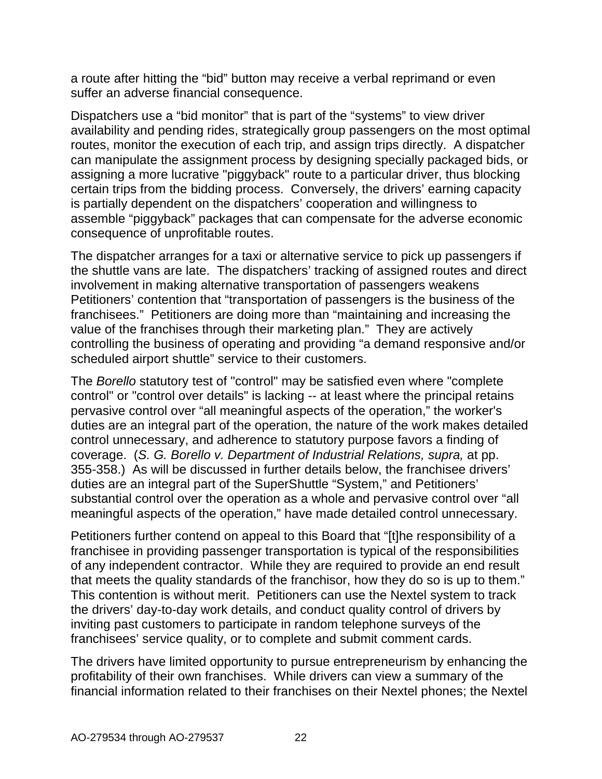a route after hitting the "bid" button may receive a verbal reprimand or even suffer an adverse financial consequence.

Dispatchers use a "bid monitor" that is part of the "systems" to view driver availability and pending rides, strategically group passengers on the most optimal routes, monitor the execution of each trip, and assign trips directly. A dispatcher can manipulate the assignment process by designing specially packaged bids, or assigning a more lucrative "piggyback" route to a particular driver, thus blocking certain trips from the bidding process. Conversely, the drivers' earning capacity is partially dependent on the dispatchers' cooperation and willingness to assemble "piggyback" packages that can compensate for the adverse economic consequence of unprofitable routes.

The dispatcher arranges for a taxi or alternative service to pick up passengers if the shuttle vans are late. The dispatchers' tracking of assigned routes and direct involvement in making alternative transportation of passengers weakens Petitioners' contention that "transportation of passengers is the business of the franchisees." Petitioners are doing more than "maintaining and increasing the value of the franchises through their marketing plan." They are actively controlling the business of operating and providing "a demand responsive and/or scheduled airport shuttle" service to their customers.

The *Borello* statutory test of "control" may be satisfied even where "complete control" or "control over details" is lacking -- at least where the principal retains pervasive control over "all meaningful aspects of the operation," the worker's duties are an integral part of the operation, the nature of the work makes detailed control unnecessary, and adherence to statutory purpose favors a finding of coverage. (*S. G. Borello v. Department of Industrial Relations, supra,* at pp. 355-358.) As will be discussed in further details below, the franchisee drivers' duties are an integral part of the SuperShuttle "System," and Petitioners' substantial control over the operation as a whole and pervasive control over "all meaningful aspects of the operation," have made detailed control unnecessary.

Petitioners further contend on appeal to this Board that "[t]he responsibility of a franchisee in providing passenger transportation is typical of the responsibilities of any independent contractor. While they are required to provide an end result that meets the quality standards of the franchisor, how they do so is up to them." This contention is without merit. Petitioners can use the Nextel system to track the drivers' day-to-day work details, and conduct quality control of drivers by inviting past customers to participate in random telephone surveys of the franchisees' service quality, or to complete and submit comment cards.

The drivers have limited opportunity to pursue entrepreneurism by enhancing the profitability of their own franchises. While drivers can view a summary of the financial information related to their franchises on their Nextel phones; the Nextel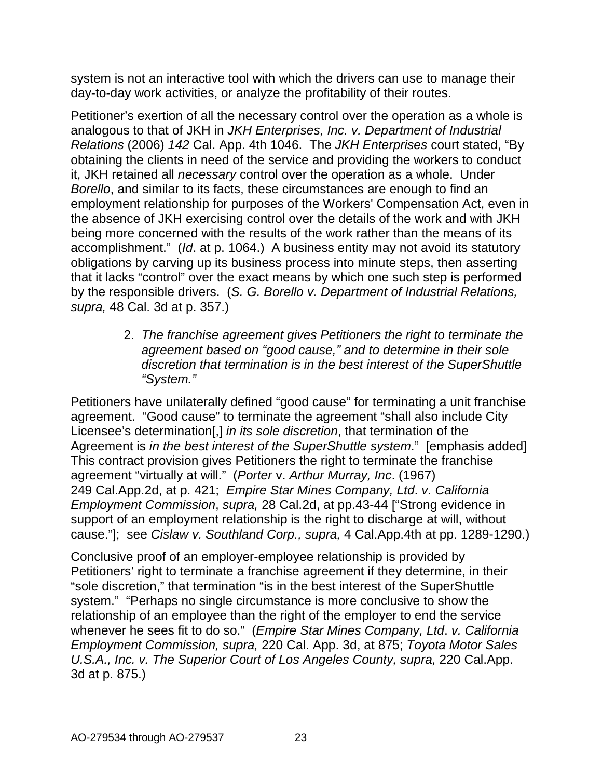system is not an interactive tool with which the drivers can use to manage their day-to-day work activities, or analyze the profitability of their routes.

Petitioner's exertion of all the necessary control over the operation as a whole is analogous to that of JKH in *JKH Enterprises, Inc. v. Department of Industrial Relations* (2006) *142* Cal. App. 4th 1046. The *JKH Enterprises* court stated, "By obtaining the clients in need of the service and providing the workers to conduct it, JKH retained all *necessary* control over the operation as a whole. Under *Borello*, and similar to its facts, these circumstances are enough to find an employment relationship for purposes of the Workers' Compensation Act, even in the absence of JKH exercising control over the details of the work and with JKH being more concerned with the results of the work rather than the means of its accomplishment." (*Id*. at p. 1064.) A business entity may not avoid its statutory obligations by carving up its business process into minute steps, then asserting that it lacks "control" over the exact means by which one such step is performed by the responsible drivers. (*S. G. Borello v. Department of Industrial Relations, supra,* 48 Cal. 3d at p. 357.)

> 2. *The franchise agreement gives Petitioners the right to terminate the agreement based on "good cause," and to determine in their sole discretion that termination is in the best interest of the SuperShuttle "System."*

Petitioners have unilaterally defined "good cause" for terminating a unit franchise agreement. "Good cause" to terminate the agreement "shall also include City Licensee's determination[,] *in its sole discretion*, that termination of the Agreement is *in the best interest of the SuperShuttle system*." [emphasis added] This contract provision gives Petitioners the right to terminate the franchise agreement "virtually at will." (*Porter* v. *[Arthur Murray, Inc](http://www.lexis.com/research/buttonTFLink?_m=d4d88dd3bae33c4688c225fbff18c922&_xfercite=%3ccite%20cc%3d%22USA%22%3e%3c%21%5bCDATA%5b4%20Cal.%20App.%204th%201284%5d%5d%3e%3c%2fcite%3e&_butType=3&_butStat=2&_butNum=38&_butInline=1&_butinfo=%3ccite%20cc%3d%22USA%22%3e%3c%21%5bCDATA%5b249%20Cal.%20App.%202d%20410%5d%5d%3e%3c%2fcite%3e&_fmtstr=FULL&docnum=1&_startdoc=1&wchp=dGLbVzk-zSkAz&_md5=676f7ad952f44739c4b956e8d6f184d4)*. (1967) [249 Cal.App.2d, at p. 421;](http://www.lexis.com/research/buttonTFLink?_m=d4d88dd3bae33c4688c225fbff18c922&_xfercite=%3ccite%20cc%3d%22USA%22%3e%3c%21%5bCDATA%5b4%20Cal.%20App.%204th%201284%5d%5d%3e%3c%2fcite%3e&_butType=3&_butStat=2&_butNum=38&_butInline=1&_butinfo=%3ccite%20cc%3d%22USA%22%3e%3c%21%5bCDATA%5b249%20Cal.%20App.%202d%20410%5d%5d%3e%3c%2fcite%3e&_fmtstr=FULL&docnum=1&_startdoc=1&wchp=dGLbVzk-zSkAz&_md5=676f7ad952f44739c4b956e8d6f184d4) *Empire Star Mines Company, Ltd*. *v. California Employment Commission*, *supra,* 28 Cal.2d, at pp.43-44 ["Strong evidence in support of an employment relationship is the right to discharge at will, without cause."]; see *Cislaw v. Southland Corp., supra,* 4 Cal.App.4th at pp. 1289-1290.)

Conclusive proof of an employer-employee relationship is provided by Petitioners' right to terminate a franchise agreement if they determine, in their "sole discretion," that termination "is in the best interest of the SuperShuttle system." "Perhaps no single circumstance is more conclusive to show the relationship of an employee than the right of the employer to end the service whenever he sees fit to do so." (*Empire Star Mines Company, Ltd*. *v. California Employment Commission, supra,* 220 Cal. App. 3d, at 875; *Toyota Motor Sales*  U.S.A., Inc. v. The Superior Court of Los Angeles County, supra, 220 Cal.App. 3d at p. 875.)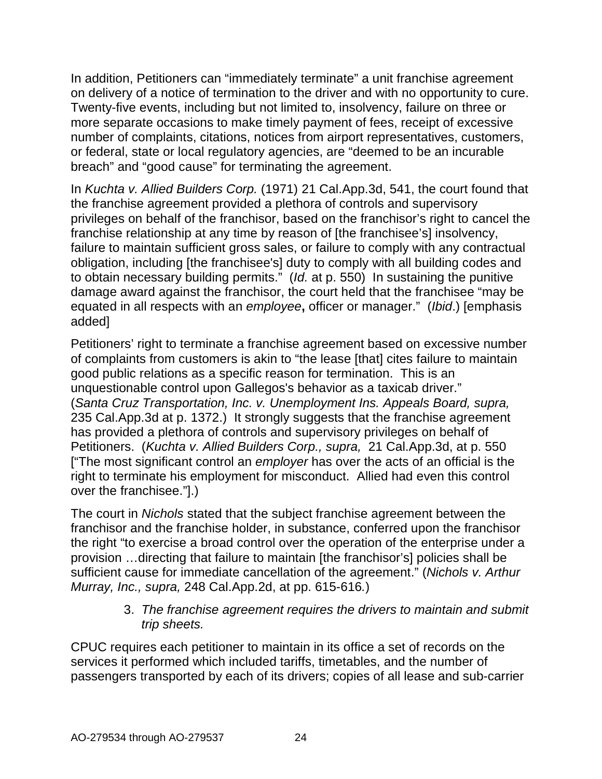In addition, Petitioners can "immediately terminate" a unit franchise agreement on delivery of a notice of termination to the driver and with no opportunity to cure. Twenty-five events, including but not limited to, insolvency, failure on three or more separate occasions to make timely payment of fees, receipt of excessive number of complaints, citations, notices from airport representatives, customers, or federal, state or local regulatory agencies, are "deemed to be an incurable breach" and "good cause" for terminating the agreement.

In *[Kuchta v. Allied Builders Corp.](http://www.lexis.com/research/buttonTFLink?_m=d4d88dd3bae33c4688c225fbff18c922&_xfercite=%3ccite%20cc%3d%22USA%22%3e%3c%21%5bCDATA%5b4%20Cal.%20App.%204th%201284%5d%5d%3e%3c%2fcite%3e&_butType=3&_butStat=2&_butNum=70&_butInline=1&_butinfo=%3ccite%20cc%3d%22USA%22%3e%3c%21%5bCDATA%5b21%20Cal.%20App.%203d%20541%5d%5d%3e%3c%2fcite%3e&_fmtstr=FULL&docnum=1&_startdoc=1&wchp=dGLbVzk-zSkAz&_md5=b3d9c76959cd8394b6b2a805ce3e6c11)* (1971) 21 Cal.App.3d, 541, the court found that the franchise agreement provided a plethora of controls and supervisory privileges on behalf of the franchisor, based on the franchisor's right to cancel the franchise relationship at any time by reason of [the franchisee's] insolvency, failure to maintain sufficient gross sales, or failure to comply with any contractual obligation, including [the franchisee's] duty to comply with all building codes and to obtain necessary building permits." (*Id.* at p. 550) In sustaining the punitive damage award against the franchisor, the court held that the franchisee "may be equated in all respects with an *employee***,** officer or manager." (*Ibid*.) [emphasis added]

Petitioners' right to terminate a franchise agreement based on excessive number of complaints from customers is akin to "the lease [that] cites failure to maintain good public relations as a specific reason for termination. This is an unquestionable control upon Gallegos's behavior as a taxicab driver." (*[Santa Cruz Transportation, Inc. v. Unemployment Ins. Appeals Board, supra,](http://www.lexis.com/research/buttonTFLink?_m=a8cdba79eaae84a9b3dfae2598f17b79&_xfercite=%3ccite%20cc%3d%22USA%22%3e%3c%21%5bCDATA%5b175%20Cal.%20App.%204th%201074%5d%5d%3e%3c%2fcite%3e&_butType=3&_butStat=2&_butNum=166&_butInline=1&_butinfo=%3ccite%20cc%3d%22USA%22%3e%3c%21%5bCDATA%5b235%20Cal.%20App.%203d%201363%2c%201367%5d%5d%3e%3c%2fcite%3e&_fmtstr=FULL&docnum=3&_startdoc=1&wchp=dGLbVzt-zSkAz&_md5=62c7b1f20a25a3977fad19ad654f3bf4)* [235 Cal.App.3d at p. 1372.\)](http://www.lexis.com/research/buttonTFLink?_m=a8cdba79eaae84a9b3dfae2598f17b79&_xfercite=%3ccite%20cc%3d%22USA%22%3e%3c%21%5bCDATA%5b175%20Cal.%20App.%204th%201074%5d%5d%3e%3c%2fcite%3e&_butType=3&_butStat=2&_butNum=166&_butInline=1&_butinfo=%3ccite%20cc%3d%22USA%22%3e%3c%21%5bCDATA%5b235%20Cal.%20App.%203d%201363%2c%201367%5d%5d%3e%3c%2fcite%3e&_fmtstr=FULL&docnum=3&_startdoc=1&wchp=dGLbVzt-zSkAz&_md5=62c7b1f20a25a3977fad19ad654f3bf4) It strongly suggests that the franchise agreement has provided a plethora of controls and supervisory privileges on behalf of Petitioners. (*[Kuchta v. Allied Builders Corp., supra,](http://www.lexis.com/research/buttonTFLink?_m=d4d88dd3bae33c4688c225fbff18c922&_xfercite=%3ccite%20cc%3d%22USA%22%3e%3c%21%5bCDATA%5b4%20Cal.%20App.%204th%201284%5d%5d%3e%3c%2fcite%3e&_butType=3&_butStat=2&_butNum=70&_butInline=1&_butinfo=%3ccite%20cc%3d%22USA%22%3e%3c%21%5bCDATA%5b21%20Cal.%20App.%203d%20541%5d%5d%3e%3c%2fcite%3e&_fmtstr=FULL&docnum=1&_startdoc=1&wchp=dGLbVzk-zSkAz&_md5=b3d9c76959cd8394b6b2a805ce3e6c11)* 21 Cal.App.3d, at p. 550 ["The most significant control an *employer* has over the acts of an official is the right to terminate his employment for misconduct. Allied had even this control over the franchisee."].)

The court in *Nichols* stated that the subject franchise agreement between the franchisor and the franchise holder, in substance, conferred upon the franchisor the right "to exercise a broad control over the operation of the enterprise under a provision …directing that failure to maintain [the franchisor's] policies shall be sufficient cause for immediate cancellation of the agreement." (*Nichols v. Arthur Murray, Inc., supra,* 248 Cal.App.2d, at pp. 615-616*.*)

> 3. *The franchise agreement requires the drivers to maintain and submit trip sheets.*

CPUC requires each petitioner to maintain in its office a set of records on the services it performed which included tariffs, timetables, and the number of passengers transported by each of its drivers; copies of all lease and sub-carrier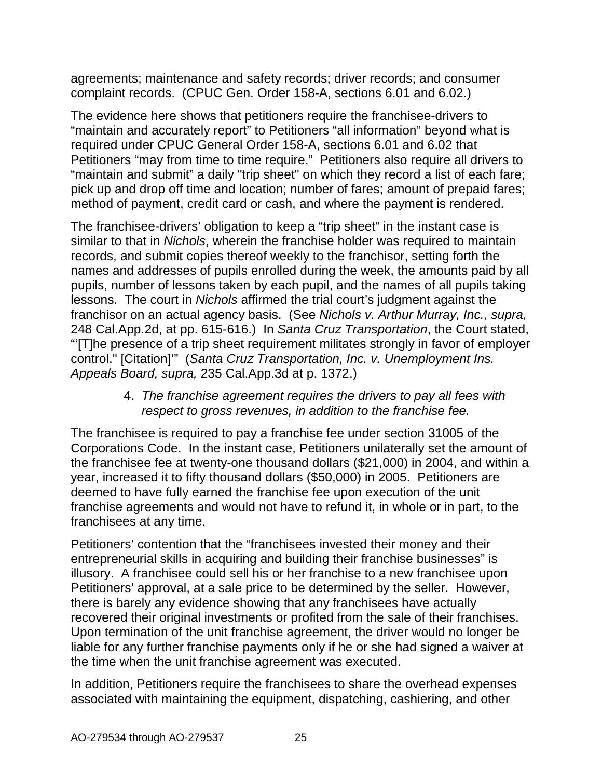agreements; maintenance and safety records; driver records; and consumer complaint records. (CPUC Gen. Order 158-A, sections 6.01 and 6.02.)

The evidence here shows that petitioners require the franchisee-drivers to "maintain and accurately report" to Petitioners "all information" beyond what is required under CPUC General Order 158-A, sections 6.01 and 6.02 that Petitioners "may from time to time require." Petitioners also require all drivers to "maintain and submit" a daily "trip sheet" on which they record a list of each fare; pick up and drop off time and location; number of fares; amount of prepaid fares; method of payment, credit card or cash, and where the payment is rendered.

The franchisee-drivers' obligation to keep a "trip sheet" in the instant case is similar to that in *Nichols*, wherein the franchise holder was required to maintain records, and submit copies thereof weekly to the franchisor, setting forth the names and addresses of pupils enrolled during the week, the amounts paid by all pupils, number of lessons taken by each pupil, and the names of all pupils taking lessons. The court in *Nichols* affirmed the trial court's judgment against the franchisor on an actual agency basis. (See *Nichols v. Arthur Murray, Inc., supra,*  248 Cal.App.2d, at pp. 615-616.) In *Santa Cruz Transportation*, the Court stated, "'[T]he presence of a trip sheet requirement militates strongly in favor of employer control." [Citation]'" (*Santa Cruz Transportation, Inc. v. Unemployment Ins. Appeals Board, supra,* 235 Cal.App.3d at p. 1372.)

### 4. *The franchise agreement requires the drivers to pay all fees with respect to gross revenues, in addition to the franchise fee.*

The franchisee is required to pay a franchise fee under section 31005 of the Corporations Code. In the instant case, Petitioners unilaterally set the amount of the franchisee fee at twenty-one thousand dollars (\$21,000) in 2004, and within a year, increased it to fifty thousand dollars (\$50,000) in 2005. Petitioners are deemed to have fully earned the franchise fee upon execution of the unit franchise agreements and would not have to refund it, in whole or in part, to the franchisees at any time.

Petitioners' contention that the "franchisees invested their money and their entrepreneurial skills in acquiring and building their franchise businesses" is illusory. A franchisee could sell his or her franchise to a new franchisee upon Petitioners' approval, at a sale price to be determined by the seller. However, there is barely any evidence showing that any franchisees have actually recovered their original investments or profited from the sale of their franchises. Upon termination of the unit franchise agreement, the driver would no longer be liable for any further franchise payments only if he or she had signed a waiver at the time when the unit franchise agreement was executed.

In addition, Petitioners require the franchisees to share the overhead expenses associated with maintaining the equipment, dispatching, cashiering, and other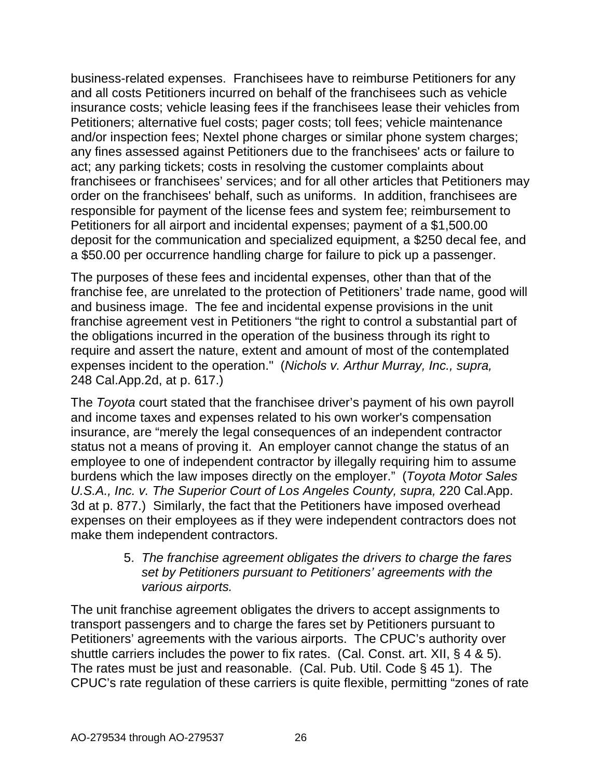business-related expenses. Franchisees have to reimburse Petitioners for any and all costs Petitioners incurred on behalf of the franchisees such as vehicle insurance costs; vehicle leasing fees if the franchisees lease their vehicles from Petitioners; alternative fuel costs; pager costs; toll fees; vehicle maintenance and/or inspection fees; Nextel phone charges or similar phone system charges; any fines assessed against Petitioners due to the franchisees' acts or failure to act; any parking tickets; costs in resolving the customer complaints about franchisees or franchisees' services; and for all other articles that Petitioners may order on the franchisees' behalf, such as uniforms. In addition, franchisees are responsible for payment of the license fees and system fee; reimbursement to Petitioners for all airport and incidental expenses; payment of a \$1,500.00 deposit for the communication and specialized equipment, a \$250 decal fee, and a \$50.00 per occurrence handling charge for failure to pick up a passenger.

The purposes of these fees and incidental expenses, other than that of the franchise fee, are unrelated to the protection of Petitioners' trade name, good will and business image. The fee and incidental expense provisions in the unit franchise agreement vest in Petitioners "the right to control a substantial part of the obligations incurred in the operation of the business through its right to require and assert the nature, extent and amount of most of the contemplated expenses incident to the operation." (*Nichols v. Arthur Murray, Inc., supra,*  248 Cal.App.2d, at p. 617.)

The *Toyota* court stated that the franchisee driver's payment of his own payroll and income taxes and expenses related to his own worker's compensation insurance, are "merely the legal consequences of an independent contractor status not a means of proving it. An employer cannot change the status of an employee to one of independent contractor by illegally requiring him to assume burdens which the law imposes directly on the employer." (*Toyota Motor Sales U.S.A., Inc. v. The Superior Court of Los Angeles County, supra,* 220 Cal.App. 3d at p. 877.) Similarly, the fact that the Petitioners have imposed overhead expenses on their employees as if they were independent contractors does not make them independent contractors.

> 5. *The franchise agreement obligates the drivers to charge the fares set by Petitioners pursuant to Petitioners' agreements with the various airports.*

The unit franchise agreement obligates the drivers to accept assignments to transport passengers and to charge the fares set by Petitioners pursuant to Petitioners' agreements with the various airports. The CPUC's authority over shuttle carriers includes the power to fix rates. (Cal. Const. art. XII, § 4 & 5). The rates must be just and reasonable. (Cal. Pub. Util. Code § 45 1). The CPUC's rate regulation of these carriers is quite flexible, permitting "zones of rate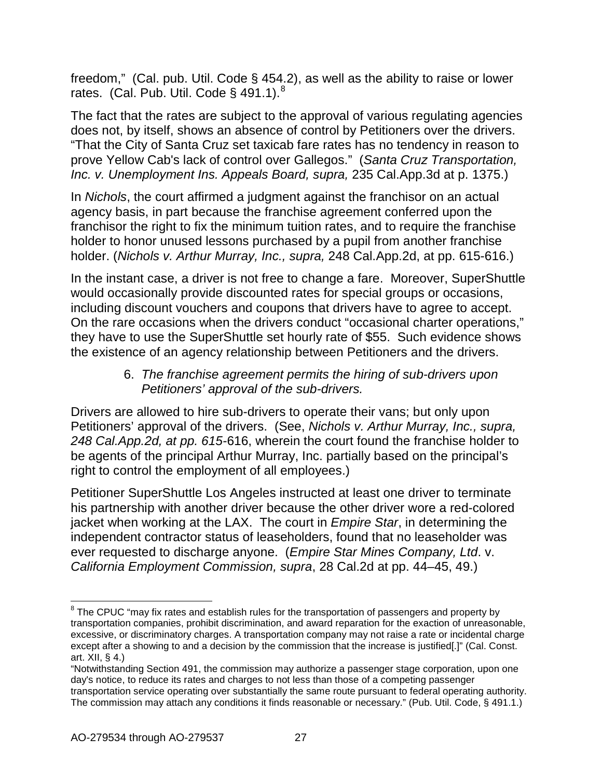freedom," (Cal. pub. Util. Code § 454.2), as well as the ability to raise or lower rates. (Cal. Pub. Util. Code § 491.1). $^8$  $^8$ 

The fact that the rates are subject to the approval of various regulating agencies does not, by itself, shows an absence of control by Petitioners over the drivers. "That the City of Santa Cruz set taxicab fare rates has no tendency in reason to prove Yellow Cab's lack of control over Gallegos." (*[Santa Cruz Transportation,](http://www.lexis.com/research/buttonTFLink?_m=a8cdba79eaae84a9b3dfae2598f17b79&_xfercite=%3ccite%20cc%3d%22USA%22%3e%3c%21%5bCDATA%5b175%20Cal.%20App.%204th%201074%5d%5d%3e%3c%2fcite%3e&_butType=3&_butStat=2&_butNum=166&_butInline=1&_butinfo=%3ccite%20cc%3d%22USA%22%3e%3c%21%5bCDATA%5b235%20Cal.%20App.%203d%201363%2c%201367%5d%5d%3e%3c%2fcite%3e&_fmtstr=FULL&docnum=3&_startdoc=1&wchp=dGLbVzt-zSkAz&_md5=62c7b1f20a25a3977fad19ad654f3bf4)  [Inc. v. Unemployment Ins. Appeals Board, supra,](http://www.lexis.com/research/buttonTFLink?_m=a8cdba79eaae84a9b3dfae2598f17b79&_xfercite=%3ccite%20cc%3d%22USA%22%3e%3c%21%5bCDATA%5b175%20Cal.%20App.%204th%201074%5d%5d%3e%3c%2fcite%3e&_butType=3&_butStat=2&_butNum=166&_butInline=1&_butinfo=%3ccite%20cc%3d%22USA%22%3e%3c%21%5bCDATA%5b235%20Cal.%20App.%203d%201363%2c%201367%5d%5d%3e%3c%2fcite%3e&_fmtstr=FULL&docnum=3&_startdoc=1&wchp=dGLbVzt-zSkAz&_md5=62c7b1f20a25a3977fad19ad654f3bf4)* 235 Cal.App.3d at p. 1375.)

In *Nichols*, the court affirmed a judgment against the franchisor on an actual agency basis, in part because the franchise agreement conferred upon the franchisor the right to fix the minimum tuition rates, and to require the franchise holder to honor unused lessons purchased by a pupil from another franchise holder. (*Nichols v. Arthur Murray, Inc., supra,* 248 Cal.App.2d, at pp. 615-616.)

In the instant case, a driver is not free to change a fare. Moreover, SuperShuttle would occasionally provide discounted rates for special groups or occasions, including discount vouchers and coupons that drivers have to agree to accept. On the rare occasions when the drivers conduct "occasional charter operations," they have to use the SuperShuttle set hourly rate of \$55. Such evidence shows the existence of an agency relationship between Petitioners and the drivers.

### 6. *The franchise agreement permits the hiring of sub-drivers upon Petitioners' approval of the sub-drivers.*

Drivers are allowed to hire sub-drivers to operate their vans; but only upon Petitioners' approval of the drivers. (See, *Nichols v. Arthur Murray, Inc., supra, 248 Cal.App.2d, at pp. 615-*616, wherein the court found the franchise holder to be agents of the principal Arthur Murray, Inc. partially based on the principal's right to control the employment of all employees.)

Petitioner SuperShuttle Los Angeles instructed at least one driver to terminate his partnership with another driver because the other driver wore a red-colored jacket when working at the LAX. The court in *Empire Star*, in determining the independent contractor status of leaseholders, found that no leaseholder was ever requested to discharge anyone. (*Empire Star Mines Company, Ltd*. v. *California Employment Commission, supra*, 28 Cal.2d at pp. 44–45, 49.)

<span id="page-26-0"></span> $8$  The CPUC "may fix rates and establish rules for the transportation of passengers and property by transportation companies, prohibit discrimination, and award reparation for the exaction of unreasonable, excessive, or discriminatory charges. A transportation company may not raise a rate or incidental charge except after a showing to and a decision by the commission that the increase is justified[.]" (Cal. Const. art. XII, § 4.)

<sup>&</sup>quot;Notwithstanding Section 491, the commission may authorize a passenger stage corporation, upon one day's notice, to reduce its rates and charges to not less than those of a competing passenger transportation service operating over substantially the same route pursuant to federal operating authority. The commission may attach any conditions it finds reasonable or necessary." (Pub. Util. Code, § 491.1.)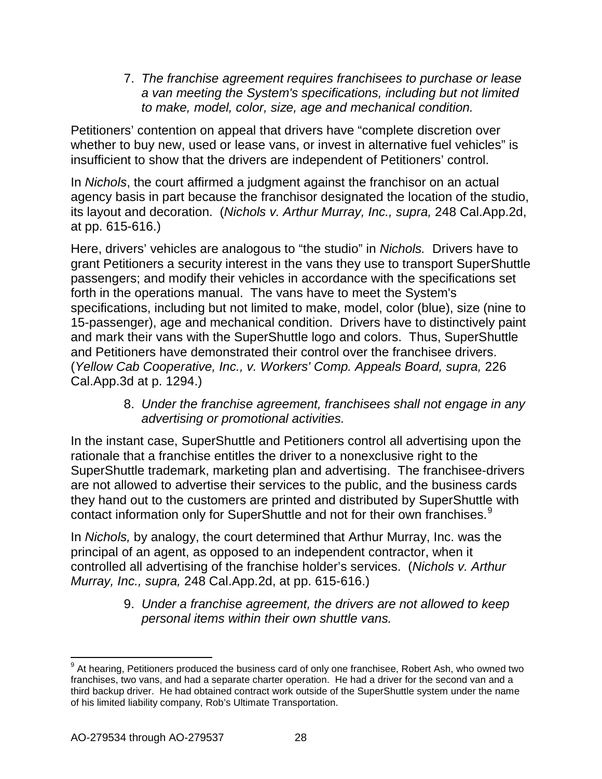7. *The franchise agreement requires franchisees to purchase or lease a van meeting the System's specifications, including but not limited to make, model, color, size, age and mechanical condition.*

Petitioners' contention on appeal that drivers have "complete discretion over whether to buy new, used or lease vans, or invest in alternative fuel vehicles" is insufficient to show that the drivers are independent of Petitioners' control.

In *Nichols*, the court affirmed a judgment against the franchisor on an actual agency basis in part because the franchisor designated the location of the studio, its layout and decoration. (*Nichols v. Arthur Murray, Inc., supra,* 248 Cal.App.2d, at pp. 615-616.)

Here, drivers' vehicles are analogous to "the studio" in *Nichols.* Drivers have to grant Petitioners a security interest in the vans they use to transport SuperShuttle passengers; and modify their vehicles in accordance with the specifications set forth in the operations manual. The vans have to meet the System's specifications, including but not limited to make, model, color (blue), size (nine to 15-passenger), age and mechanical condition. Drivers have to distinctively paint and mark their vans with the SuperShuttle logo and colors. Thus, SuperShuttle and Petitioners have demonstrated their control over the franchisee drivers. (*Yellow Cab Cooperative, Inc., v. Workers' Comp. Appeals Board, supra,* 226 Cal.App.3d at p. 1294.)

> 8. *Under the franchise agreement, franchisees shall not engage in any advertising or promotional activities.*

In the instant case, SuperShuttle and Petitioners control all advertising upon the rationale that a franchise entitles the driver to a nonexclusive right to the SuperShuttle trademark, marketing plan and advertising. The franchisee-drivers are not allowed to advertise their services to the public, and the business cards they hand out to the customers are printed and distributed by SuperShuttle with contact information only for SuperShuttle and not for their own franchises.<sup>[9](#page-27-0)</sup>

In *Nichols,* by analogy, the court determined that Arthur Murray, Inc. was the principal of an agent, as opposed to an independent contractor, when it controlled all advertising of the franchise holder's services. (*Nichols v. Arthur Murray, Inc., supra,* 248 Cal.App.2d, at pp. 615-616.)

> 9. *Under a franchise agreement, the drivers are not allowed to keep personal items within their own shuttle vans.*

<span id="page-27-0"></span> $9$  At hearing, Petitioners produced the business card of only one franchisee, Robert Ash, who owned two franchises, two vans, and had a separate charter operation. He had a driver for the second van and a third backup driver. He had obtained contract work outside of the SuperShuttle system under the name of his limited liability company, Rob's Ultimate Transportation.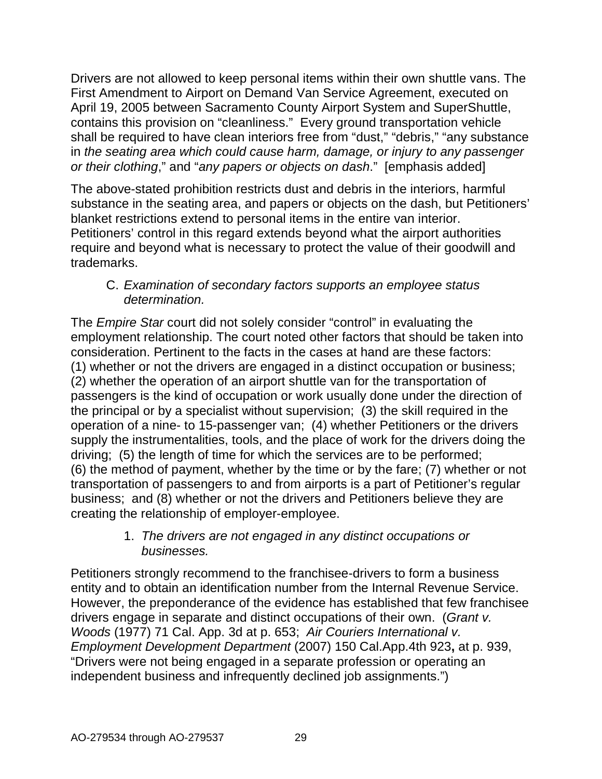Drivers are not allowed to keep personal items within their own shuttle vans. The First Amendment to Airport on Demand Van Service Agreement, executed on April 19, 2005 between Sacramento County Airport System and SuperShuttle, contains this provision on "cleanliness." Every ground transportation vehicle shall be required to have clean interiors free from "dust," "debris," "any substance in *the seating area which could cause harm, damage, or injury to any passenger or their clothing*," and "*any papers or objects on dash*." [emphasis added]

The above-stated prohibition restricts dust and debris in the interiors, harmful substance in the seating area, and papers or objects on the dash, but Petitioners' blanket restrictions extend to personal items in the entire van interior. Petitioners' control in this regard extends beyond what the airport authorities require and beyond what is necessary to protect the value of their goodwill and trademarks.

### C. *Examination of secondary factors supports an employee status determination.*

The *Empire Star* court did not solely consider "control" in evaluating the employment relationship. The court noted other factors that should be taken into consideration. Pertinent to the facts in the cases at hand are these factors: (1) whether or not the drivers are engaged in a distinct occupation or business; (2) whether the operation of an airport shuttle van for the transportation of passengers is the kind of occupation or work usually done under the direction of the principal or by a specialist without supervision; (3) the skill required in the operation of a nine- to 15-passenger van; (4) whether Petitioners or the drivers supply the instrumentalities, tools, and the place of work for the drivers doing the driving; (5) the length of time for which the services are to be performed; (6) the method of payment, whether by the time or by the fare; (7) whether or not transportation of passengers to and from airports is a part of Petitioner's regular business; and (8) whether or not the drivers and Petitioners believe they are creating the relationship of employer-employee.

## 1. *The drivers are not engaged in any distinct occupations or businesses.*

Petitioners strongly recommend to the franchisee-drivers to form a business entity and to obtain an identification number from the Internal Revenue Service. However, the preponderance of the evidence has established that few franchisee drivers engage in separate and distinct occupations of their own. (*Grant v. Woods* (1977) 71 Cal. App. 3d at p. 653; *Air Couriers International v. Employment Development Department* (2007) 150 Cal.App.4th 923**,** at p. 939, "Drivers were not being engaged in a separate profession or operating an independent business and infrequently declined job assignments.")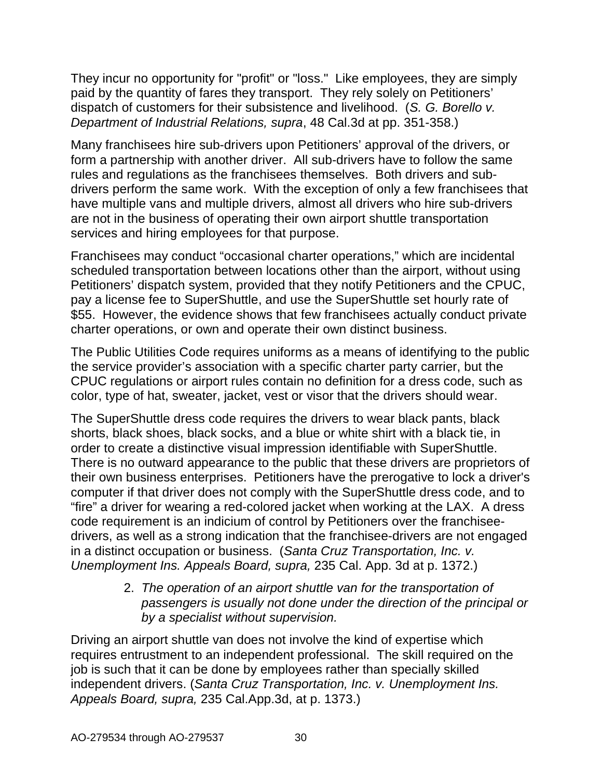They incur no opportunity for "profit" or "loss." Like employees, they are simply paid by the quantity of fares they transport. They rely solely on Petitioners' dispatch of customers for their subsistence and livelihood. (*S. G. [Borello v.](http://www.lexis.com/research/buttonTFLink?_m=b66e3a881d11884cb2d1f8c0870a572d&_xfercite=%3ccite%20cc%3d%22USA%22%3e%3c%21%5bCDATA%5b192%20Cal.%20App.%204th%20419%5d%5d%3e%3c%2fcite%3e&_butType=3&_butStat=2&_butNum=29&_butInline=1&_butinfo=%3ccite%20cc%3d%22USA%22%3e%3c%21%5bCDATA%5b48%20Cal.%203d%20341%2c%20351%5d%5d%3e%3c%2fcite%3e&_fmtstr=FULL&docnum=1&_startdoc=1&wchp=dGLzVzB-zSkAW&_md5=489d5ef00937ff055474e7ae34e8d345)  [Department of Industrial Relations, supra](http://www.lexis.com/research/buttonTFLink?_m=b66e3a881d11884cb2d1f8c0870a572d&_xfercite=%3ccite%20cc%3d%22USA%22%3e%3c%21%5bCDATA%5b192%20Cal.%20App.%204th%20419%5d%5d%3e%3c%2fcite%3e&_butType=3&_butStat=2&_butNum=29&_butInline=1&_butinfo=%3ccite%20cc%3d%22USA%22%3e%3c%21%5bCDATA%5b48%20Cal.%203d%20341%2c%20351%5d%5d%3e%3c%2fcite%3e&_fmtstr=FULL&docnum=1&_startdoc=1&wchp=dGLzVzB-zSkAW&_md5=489d5ef00937ff055474e7ae34e8d345)*, 48 Cal.3d at pp. 351-358.)

Many franchisees hire sub-drivers upon Petitioners' approval of the drivers, or form a partnership with another driver. All sub-drivers have to follow the same rules and regulations as the franchisees themselves. Both drivers and subdrivers perform the same work. With the exception of only a few franchisees that have multiple vans and multiple drivers, almost all drivers who hire sub-drivers are not in the business of operating their own airport shuttle transportation services and hiring employees for that purpose.

Franchisees may conduct "occasional charter operations," which are incidental scheduled transportation between locations other than the airport, without using Petitioners' dispatch system, provided that they notify Petitioners and the CPUC, pay a license fee to SuperShuttle, and use the SuperShuttle set hourly rate of \$55. However, the evidence shows that few franchisees actually conduct private charter operations, or own and operate their own distinct business.

The Public Utilities Code requires uniforms as a means of identifying to the public the service provider's association with a specific charter party carrier, but the CPUC regulations or airport rules contain no definition for a dress code, such as color, type of hat, sweater, jacket, vest or visor that the drivers should wear.

The SuperShuttle dress code requires the drivers to wear black pants, black shorts, black shoes, black socks, and a blue or white shirt with a black tie, in order to create a distinctive visual impression identifiable with SuperShuttle. There is no outward appearance to the public that these drivers are proprietors of their own business enterprises. Petitioners have the prerogative to lock a driver's computer if that driver does not comply with the SuperShuttle dress code, and to "fire" a driver for wearing a red-colored jacket when working at the LAX. A dress code requirement is an indicium of control by Petitioners over the franchiseedrivers, as well as a strong indication that the franchisee-drivers are not engaged in a distinct occupation or business. (*Santa Cruz Transportation, Inc. v. Unemployment Ins. Appeals Board, supra,* 235 Cal. App. 3d at p. 1372.)

> 2. *The operation of an airport shuttle van for the transportation of passengers is usually not done under the direction of the principal or by a specialist without supervision.*

Driving an airport shuttle van does not involve the kind of expertise which requires entrustment to an independent professional. The skill required on the job is such that it can be done by employees rather than specially skilled independent drivers. (*Santa Cruz Transportation, Inc. v. Unemployment Ins. Appeals Board, supra,* 235 Cal.App.3d, at p. 1373.)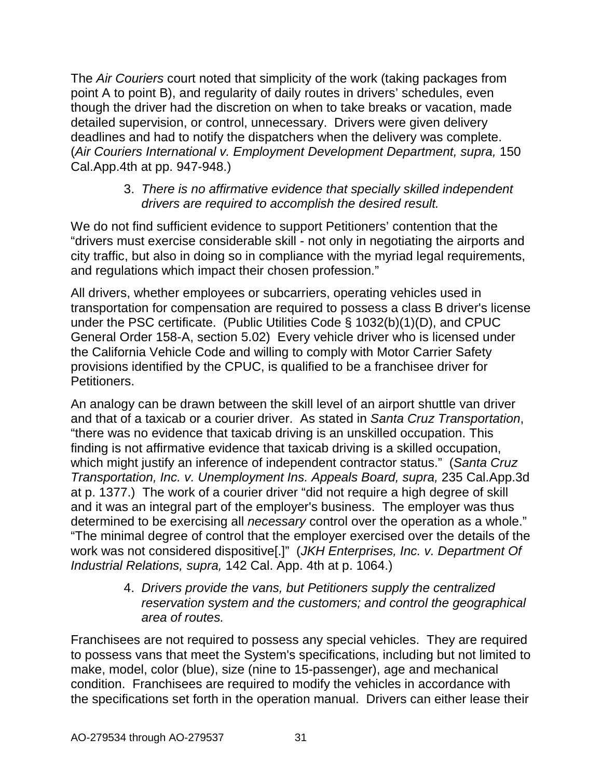The *Air Couriers* court noted that simplicity of the work (taking packages from point A to point B), and regularity of daily routes in drivers' schedules, even though the driver had the discretion on when to take breaks or vacation, made detailed supervision, or control, unnecessary. Drivers were given delivery deadlines and had to notify the dispatchers when the delivery was complete. (*Air Couriers International v. Employment Development Department, supra,* 150 Cal.App.4th at pp. 947-948.)

### 3. *There is no affirmative evidence that specially skilled independent drivers are required to accomplish the desired result.*

We do not find sufficient evidence to support Petitioners' contention that the "drivers must exercise considerable skill - not only in negotiating the airports and city traffic, but also in doing so in compliance with the myriad legal requirements, and regulations which impact their chosen profession."

All drivers, whether employees or subcarriers, operating vehicles used in transportation for compensation are required to possess a class B driver's license under the PSC certificate. (Public Utilities Code § 1032(b)(1)(D), and CPUC General Order 158-A, section 5.02) Every vehicle driver who is licensed under the California Vehicle Code and willing to comply with Motor Carrier Safety provisions identified by the CPUC, is qualified to be a franchisee driver for Petitioners.

An analogy can be drawn between the skill level of an airport shuttle van driver and that of a taxicab or a courier driver. As stated in *Santa Cruz Transportation*, "there was no evidence that taxicab driving is an unskilled occupation. This finding is not affirmative evidence that taxicab driving is a skilled occupation, which might justify an inference of independent contractor status." (*[Santa Cruz](http://www.lexis.com/research/buttonTFLink?_m=a8cdba79eaae84a9b3dfae2598f17b79&_xfercite=%3ccite%20cc%3d%22USA%22%3e%3c%21%5bCDATA%5b175%20Cal.%20App.%204th%201074%5d%5d%3e%3c%2fcite%3e&_butType=3&_butStat=2&_butNum=166&_butInline=1&_butinfo=%3ccite%20cc%3d%22USA%22%3e%3c%21%5bCDATA%5b235%20Cal.%20App.%203d%201363%2c%201367%5d%5d%3e%3c%2fcite%3e&_fmtstr=FULL&docnum=3&_startdoc=1&wchp=dGLbVzt-zSkAz&_md5=62c7b1f20a25a3977fad19ad654f3bf4) [Transportation, Inc. v. Unemployment Ins. Appeals Board, supra,](http://www.lexis.com/research/buttonTFLink?_m=a8cdba79eaae84a9b3dfae2598f17b79&_xfercite=%3ccite%20cc%3d%22USA%22%3e%3c%21%5bCDATA%5b175%20Cal.%20App.%204th%201074%5d%5d%3e%3c%2fcite%3e&_butType=3&_butStat=2&_butNum=166&_butInline=1&_butinfo=%3ccite%20cc%3d%22USA%22%3e%3c%21%5bCDATA%5b235%20Cal.%20App.%203d%201363%2c%201367%5d%5d%3e%3c%2fcite%3e&_fmtstr=FULL&docnum=3&_startdoc=1&wchp=dGLbVzt-zSkAz&_md5=62c7b1f20a25a3977fad19ad654f3bf4)* 235 Cal.App.3d [at p. 1377.\)](http://www.lexis.com/research/buttonTFLink?_m=a8cdba79eaae84a9b3dfae2598f17b79&_xfercite=%3ccite%20cc%3d%22USA%22%3e%3c%21%5bCDATA%5b175%20Cal.%20App.%204th%201074%5d%5d%3e%3c%2fcite%3e&_butType=3&_butStat=2&_butNum=166&_butInline=1&_butinfo=%3ccite%20cc%3d%22USA%22%3e%3c%21%5bCDATA%5b235%20Cal.%20App.%203d%201363%2c%201367%5d%5d%3e%3c%2fcite%3e&_fmtstr=FULL&docnum=3&_startdoc=1&wchp=dGLbVzt-zSkAz&_md5=62c7b1f20a25a3977fad19ad654f3bf4) The work of a courier driver "did not require a high degree of skill and it was an integral part of the employer's business. The employer was thus determined to be exercising all *necessary* control over the operation as a whole." "The minimal degree of control that the employer exercised over the details of the work was not considered dispositive[.]" (*JKH Enterprises, Inc. v. Department Of Industrial Relations, supra,* 142 Cal. App. 4th at p. 1064.)

> 4. *Drivers provide the vans, but Petitioners supply the centralized reservation system and the customers; and control the geographical area of routes.*

Franchisees are not required to possess any special vehicles. They are required to possess vans that meet the System's specifications, including but not limited to make, model, color (blue), size (nine to 15-passenger), age and mechanical condition. Franchisees are required to modify the vehicles in accordance with the specifications set forth in the operation manual. Drivers can either lease their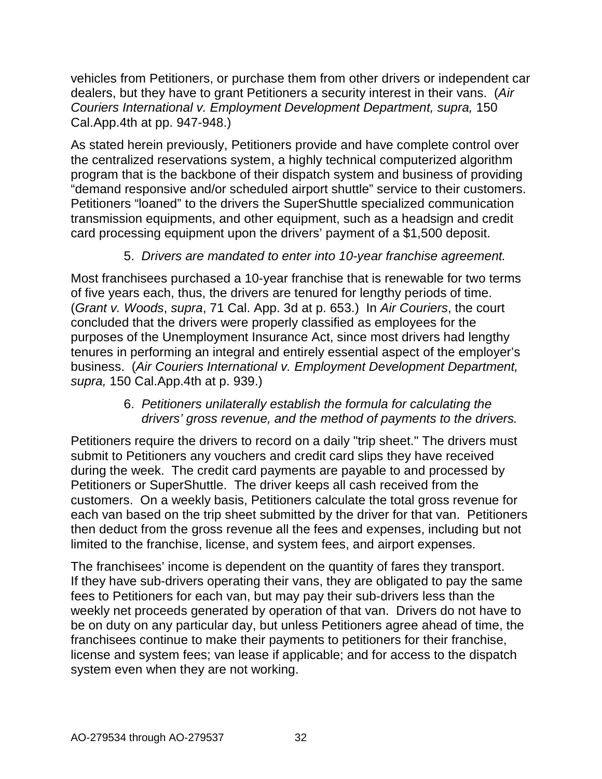vehicles from Petitioners, or purchase them from other drivers or independent car dealers, but they have to grant Petitioners a security interest in their vans. (*Air Couriers International v. Employment Development Department, supra,* 150 Cal.App.4th at pp. 947-948.)

As stated herein previously, Petitioners provide and have complete control over the centralized reservations system, a highly technical computerized algorithm program that is the backbone of their dispatch system and business of providing "demand responsive and/or scheduled airport shuttle" service to their customers. Petitioners "loaned" to the drivers the SuperShuttle specialized communication transmission equipments, and other equipment, such as a headsign and credit card processing equipment upon the drivers' payment of a \$1,500 deposit.

## 5. *Drivers are mandated to enter into 10-year franchise agreement.*

Most franchisees purchased a 10-year franchise that is renewable for two terms of five years each, thus, the drivers are tenured for lengthy periods of time. (*Grant v. Woods*, *supra*, 71 Cal. App. 3d at p. 653.) In *Air Couriers*, the court concluded that the drivers were properly classified as employees for the purposes of the Unemployment Insurance Act, since most drivers had lengthy tenures in performing an integral and entirely essential aspect of the employer's business. (*Air Couriers International v. Employment Development Department, supra,* 150 Cal.App.4th at p. 939.)

### 6. *Petitioners unilaterally establish the formula for calculating the drivers' gross revenue, and the method of payments to the drivers.*

Petitioners require the drivers to record on a daily "trip sheet." The drivers must submit to Petitioners any vouchers and credit card slips they have received during the week. The credit card payments are payable to and processed by Petitioners or SuperShuttle. The driver keeps all cash received from the customers. On a weekly basis, Petitioners calculate the total gross revenue for each van based on the trip sheet submitted by the driver for that van. Petitioners then deduct from the gross revenue all the fees and expenses, including but not limited to the franchise, license, and system fees, and airport expenses.

The franchisees' income is dependent on the quantity of fares they transport. If they have sub-drivers operating their vans, they are obligated to pay the same fees to Petitioners for each van, but may pay their sub-drivers less than the weekly net proceeds generated by operation of that van. Drivers do not have to be on duty on any particular day, but unless Petitioners agree ahead of time, the franchisees continue to make their payments to petitioners for their franchise, license and system fees; van lease if applicable; and for access to the dispatch system even when they are not working.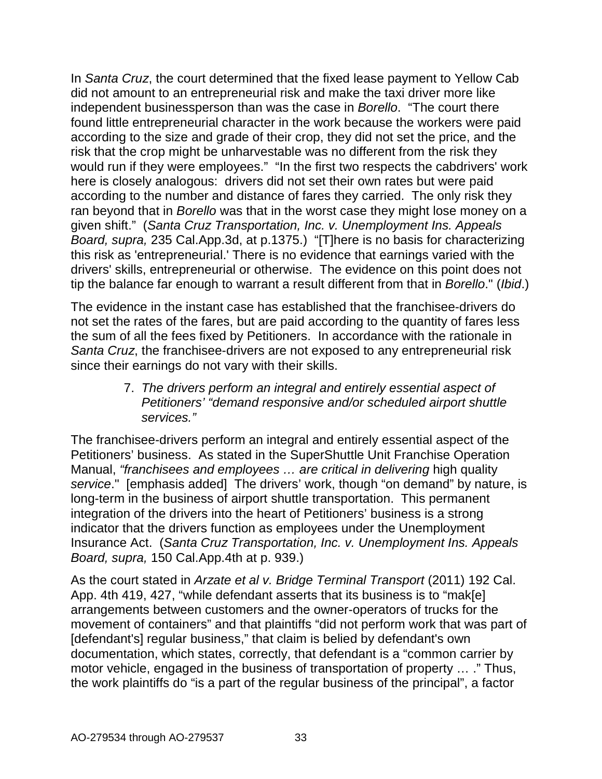In *Santa Cruz*, the court determined that the fixed lease payment to Yellow Cab did not amount to an entrepreneurial risk and make the taxi driver more like independent businessperson than was the case in *Borello*. "The court there found little entrepreneurial character in the work because the workers were paid according to the size and grade of their crop, they did not set the price, and the risk that the crop might be unharvestable was no different from the risk they would run if they were employees." "In the first two respects the cabdrivers' work here is closely analogous: drivers did not set their own rates but were paid according to the number and distance of fares they carried. The only risk they ran beyond that in *Borello* was that in the worst case they might lose money on a given shift." (*Santa Cruz Transportation, Inc. v. Unemployment Ins. Appeals Board, supra,* 235 Cal.App.3d, at p.1375.) "[T]here is no basis for characterizing this risk as 'entrepreneurial.' There is no evidence that earnings varied with the drivers' skills, entrepreneurial or otherwise. The evidence on this point does not tip the balance far enough to warrant a result different from that in *Borello*." (*Ibid*.)

The evidence in the instant case has established that the franchisee-drivers do not set the rates of the fares, but are paid according to the quantity of fares less the sum of all the fees fixed by Petitioners. In accordance with the rationale in *Santa Cruz*, the franchisee-drivers are not exposed to any entrepreneurial risk since their earnings do not vary with their skills.

> 7. *The drivers perform an integral and entirely essential aspect of Petitioners' "demand responsive and/or scheduled airport shuttle services."*

The franchisee-drivers perform an integral and entirely essential aspect of the Petitioners' business. As stated in the SuperShuttle Unit Franchise Operation Manual, *"franchisees and employees … are critical in delivering* high quality *service*." [emphasis added] The drivers' work, though "on demand" by nature, is long-term in the business of airport shuttle transportation. This permanent integration of the drivers into the heart of Petitioners' business is a strong indicator that the drivers function as employees under the Unemployment Insurance Act. (*Santa Cruz Transportation, Inc. v. Unemployment Ins. Appeals Board, supra,* 150 Cal.App.4th at p. 939.)

As the court stated in *Arzate et al v. Bridge Terminal Transport* (2011) 192 Cal. App. 4th 419, 427, "while defendant asserts that its business is to "mak[e] arrangements between customers and the owner-operators of trucks for the movement of containers" and that plaintiffs "did not perform work that was part of [defendant's] regular business," that claim is belied by defendant's own documentation, which states, correctly, that defendant is a "common carrier by motor vehicle, engaged in the business of transportation of property … ." Thus, the work plaintiffs do "is a part of the regular business of the principal", a factor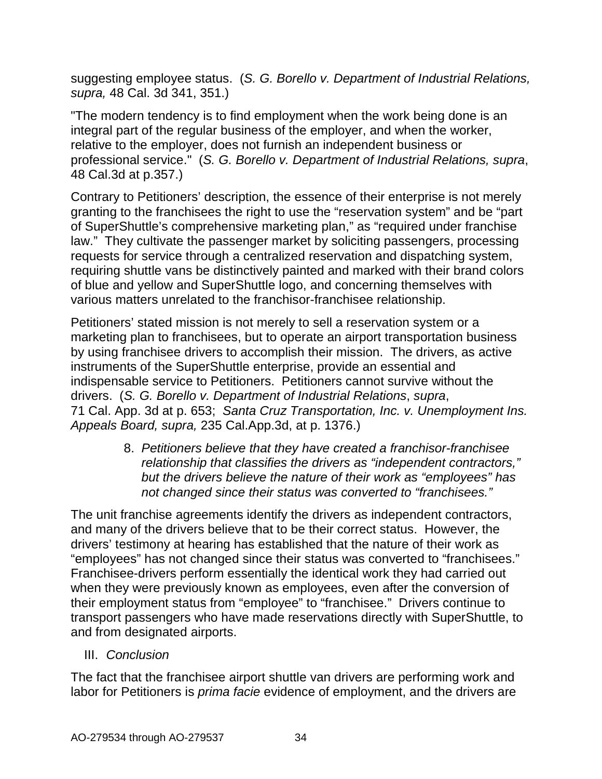suggesting employee status. (*S. G. [Borello v. Department of Industrial Relations,](http://www.lexis.com/research/buttonTFLink?_m=b66e3a881d11884cb2d1f8c0870a572d&_xfercite=%3ccite%20cc%3d%22USA%22%3e%3c%21%5bCDATA%5b192%20Cal.%20App.%204th%20419%5d%5d%3e%3c%2fcite%3e&_butType=3&_butStat=2&_butNum=29&_butInline=1&_butinfo=%3ccite%20cc%3d%22USA%22%3e%3c%21%5bCDATA%5b48%20Cal.%203d%20341%2c%20351%5d%5d%3e%3c%2fcite%3e&_fmtstr=FULL&docnum=1&_startdoc=1&wchp=dGLzVzB-zSkAW&_md5=489d5ef00937ff055474e7ae34e8d345)  supra,* [48 Cal. 3d 341, 351.](http://www.lexis.com/research/buttonTFLink?_m=b66e3a881d11884cb2d1f8c0870a572d&_xfercite=%3ccite%20cc%3d%22USA%22%3e%3c%21%5bCDATA%5b192%20Cal.%20App.%204th%20419%5d%5d%3e%3c%2fcite%3e&_butType=3&_butStat=2&_butNum=29&_butInline=1&_butinfo=%3ccite%20cc%3d%22USA%22%3e%3c%21%5bCDATA%5b48%20Cal.%203d%20341%2c%20351%5d%5d%3e%3c%2fcite%3e&_fmtstr=FULL&docnum=1&_startdoc=1&wchp=dGLzVzB-zSkAW&_md5=489d5ef00937ff055474e7ae34e8d345))

"The modern tendency is to find employment when the work being done is an integral part of the regular business of the employer, and when the worker, relative to the employer, does not furnish an independent business or professional service." (*S. G. Borello v. Department of Industrial Relations, supra*, 48 Cal.3d at p.357.)

Contrary to Petitioners' description, the essence of their enterprise is not merely granting to the franchisees the right to use the "reservation system" and be "part of SuperShuttle's comprehensive marketing plan," as "required under franchise law." They cultivate the passenger market by soliciting passengers, processing requests for service through a centralized reservation and dispatching system, requiring shuttle vans be distinctively painted and marked with their brand colors of blue and yellow and SuperShuttle logo, and concerning themselves with various matters unrelated to the franchisor-franchisee relationship.

Petitioners' stated mission is not merely to sell a reservation system or a marketing plan to franchisees, but to operate an airport transportation business by using franchisee drivers to accomplish their mission. The drivers, as active instruments of the SuperShuttle enterprise, provide an essential and indispensable service to Petitioners. Petitioners cannot survive without the drivers. (*S. G. Borello v. Department of Industrial Relations*, *supra*, 71 Cal. App. 3d at p. 653; *Santa Cruz Transportation, Inc. v. Unemployment Ins. Appeals Board, supra,* 235 Cal.App.3d, at p. 1376.)

> 8. *Petitioners believe that they have created a franchisor-franchisee relationship that classifies the drivers as "independent contractors," but the drivers believe the nature of their work as "employees" has not changed since their status was converted to "franchisees."*

The unit franchise agreements identify the drivers as independent contractors, and many of the drivers believe that to be their correct status. However, the drivers' testimony at hearing has established that the nature of their work as "employees" has not changed since their status was converted to "franchisees." Franchisee-drivers perform essentially the identical work they had carried out when they were previously known as employees, even after the conversion of their employment status from "employee" to "franchisee." Drivers continue to transport passengers who have made reservations directly with SuperShuttle, to and from designated airports.

III. *Conclusion*

The fact that the franchisee airport shuttle van drivers are performing work and labor for Petitioners is *prima facie* evidence of employment, and the drivers are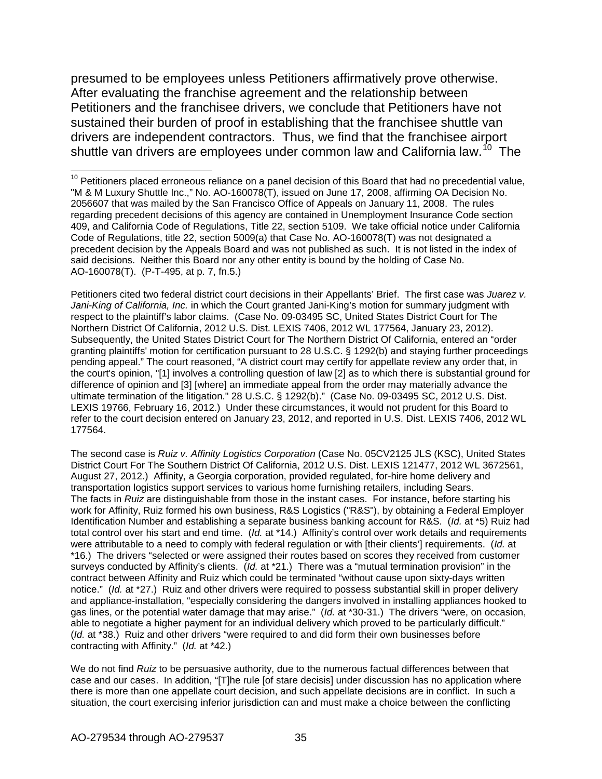presumed to be employees unless Petitioners affirmatively prove otherwise. After evaluating the franchise agreement and the relationship between Petitioners and the franchisee drivers, we conclude that Petitioners have not sustained their burden of proof in establishing that the franchisee shuttle van drivers are independent contractors. Thus, we find that the franchisee airport shuttle van drivers are employees under common law and California law.<sup>[10](#page-34-0)</sup> The

Petitioners cited two federal district court decisions in their Appellants' Brief. The first case was *Juarez v. Jani-King of California, Inc.* in which the Court granted Jani-King's motion for summary judgment with respect to the plaintiff's labor claims. (Case No. 09-03495 SC, United States District Court for The Northern District Of California, 2012 U.S. Dist. LEXIS 7406, 2012 WL 177564, January 23, 2012). Subsequently, the United States District Court for The Northern District Of California, entered an "order granting plaintiffs' motion for certification pursuant to [28 U.S.C. § 1292\(b\)](http://www.lexis.com/research/buttonTFLink?_m=cd80e12abacee4480cd12e96ba704b35&_xfercite=%3ccite%20cc%3d%22USA%22%3e%3c%21%5bCDATA%5b2012%20U.S.%20Dist.%20LEXIS%2019766%5d%5d%3e%3c%2fcite%3e&_butType=4&_butStat=0&_butNum=2&_butInline=1&_butinfo=28%20U.S.C.%201292&_fmtstr=FULL&docnum=1&_startdoc=1&wchp=dGLbVzk-zSkAb&_md5=c0d77a62ec5c928f882c11821779b6b0) and staying further proceedings pending appeal." The court reasoned, "A district court may certify for appellate review any order that, in the court's opinion, "[1] involves a controlling question of law [2] as to which there is substantial ground for difference of opinion and [3] [where] an immediate appeal from the order may materially advance the ultimate termination of the litigation." [28 U.S.C. § 1292\(b\).](http://www.lexis.com/research/buttonTFLink?_m=cd80e12abacee4480cd12e96ba704b35&_xfercite=%3ccite%20cc%3d%22USA%22%3e%3c%21%5bCDATA%5b2012%20U.S.%20Dist.%20LEXIS%2019766%5d%5d%3e%3c%2fcite%3e&_butType=4&_butStat=0&_butNum=7&_butInline=1&_butinfo=28%20U.S.C.%201292&_fmtstr=FULL&docnum=1&_startdoc=1&wchp=dGLbVzk-zSkAb&_md5=74a62f84630901f3b5b92398edcad0be)" (Case No. 09-03495 SC, 2012 U.S. Dist. LEXIS 19766, February 16, 2012.) Under these circumstances, it would not prudent for this Board to refer to the court decision entered on January 23, 2012, and reported in U.S. Dist. LEXIS 7406, 2012 WL 177564.

The second case is *Ruiz v. Affinity Logistics Corporation* (Case No. 05CV2125 JLS (KSC), United States District Court For The Southern District Of California, 2012 U.S. Dist. LEXIS 121477, 2012 WL 3672561, August 27, 2012.) Affinity, a Georgia corporation, provided regulated, for-hire home delivery and transportation logistics support services to various home furnishing retailers, including Sears. The facts in *Ruiz* are distinguishable from those in the instant cases. For instance, before starting his work for Affinity, Ruiz formed his own business, R&S Logistics ("R&S"), by obtaining a Federal Employer Identification Number and establishing a separate business banking account for R&S. (*Id.* at \*5) Ruiz had total control over his start and end time. (*Id.* at \*14.) Affinity's control over work details and requirements were attributable to a need to comply with federal regulation or with [their clients'] requirements. (*Id.* at \*16.) The drivers "selected or were assigned their routes based on scores they received from customer surveys conducted by Affinity's clients. (*Id.* at \*21.) There was a "mutual termination provision" in the contract between Affinity and Ruiz which could be terminated "without cause upon sixty-days written notice." (*Id.* at \*27.) Ruiz and other drivers were required to possess substantial skill in proper delivery and appliance-installation, "especially considering the dangers involved in installing appliances hooked to gas lines, or the potential water damage that may arise." (*Id.* at \*30-31.) The drivers "were, on occasion, able to negotiate a higher payment for an individual delivery which proved to be particularly difficult." (*Id.* at \*38.) Ruiz and other drivers "were required to and did form their own businesses before contracting with Affinity." (*Id.* at \*42.)

We do not find *Ruiz* to be persuasive authority, due to the numerous factual differences between that case and our cases. In addition, "[T]he rule [of stare decisis] under discussion has no application where there is more than one appellate court decision, and such appellate decisions are in conflict. In such a situation, the court exercising inferior jurisdiction can and must make a choice between the conflicting

<span id="page-34-0"></span> $10$  Petitioners placed erroneous reliance on a panel decision of this Board that had no precedential value, "M & M Luxury Shuttle Inc.," No. AO-160078(T), issued on June 17, 2008, affirming OA Decision No. 2056607 that was mailed by the San Francisco Office of Appeals on January 11, 2008. The rules regarding precedent decisions of this agency are contained in Unemployment Insurance Code section 409, and California Code of Regulations, Title 22, section 5109. We take official notice under California Code of Regulations, title 22, section 5009(a) that Case No. AO-160078(T) was not designated a precedent decision by the Appeals Board and was not published as such. It is not listed in the index of said decisions. Neither this Board nor any other entity is bound by the holding of Case No. AO-160078(T). (P-T-495, at p. 7, fn.5.)